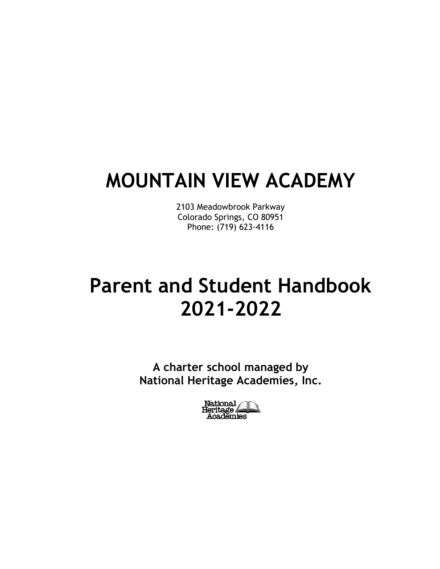# **MOUNTAIN VIEW ACADEMY**

2103 Meadowbrook Parkway Colorado Springs, CO 80951 Phone: (719) 623-4116

# **Parent and Student Handbook 2021-2022**

**A charter school managed by National Heritage Academies, Inc.**

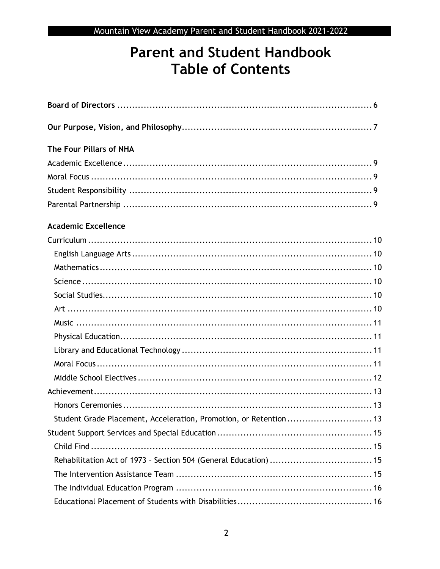## **Parent and Student Handbook Table of Contents**

| The Four Pillars of NHA                                           |
|-------------------------------------------------------------------|
|                                                                   |
|                                                                   |
|                                                                   |
|                                                                   |
| <b>Academic Excellence</b>                                        |
|                                                                   |
|                                                                   |
|                                                                   |
|                                                                   |
|                                                                   |
|                                                                   |
|                                                                   |
|                                                                   |
|                                                                   |
|                                                                   |
|                                                                   |
|                                                                   |
|                                                                   |
| Student Grade Placement, Acceleration, Promotion, or Retention 13 |
|                                                                   |
|                                                                   |
|                                                                   |
|                                                                   |
|                                                                   |
|                                                                   |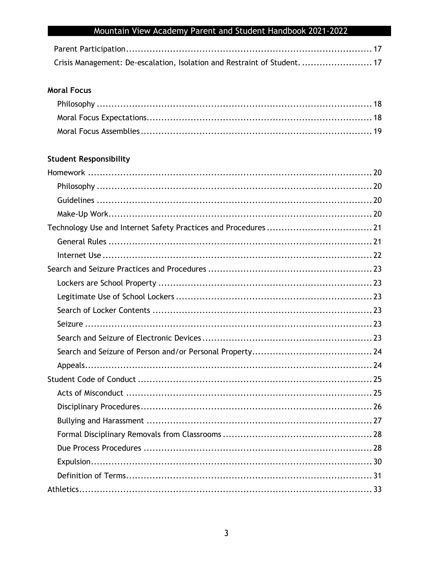| Crisis Management: De-escalation, Isolation and Restraint of Student.  17 |  |
|---------------------------------------------------------------------------|--|

### **Moral Focus**

### **Student Responsibility**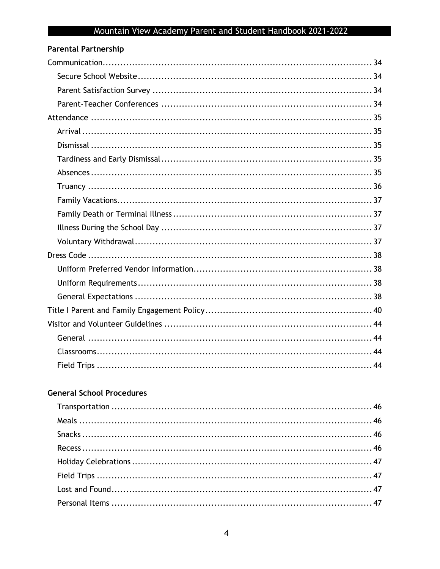| <b>Parental Partnership</b> |  |
|-----------------------------|--|
|                             |  |
|                             |  |
|                             |  |
|                             |  |
|                             |  |
|                             |  |
|                             |  |
|                             |  |
|                             |  |
|                             |  |
|                             |  |
|                             |  |
|                             |  |
|                             |  |
|                             |  |
|                             |  |
|                             |  |
|                             |  |
|                             |  |
|                             |  |
|                             |  |
|                             |  |
|                             |  |

## **General School Procedures**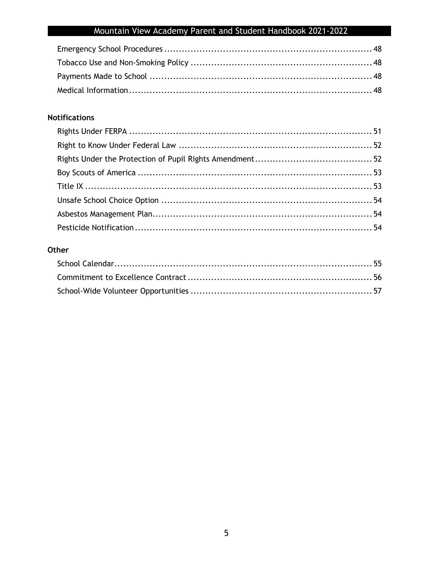### **Notifications**

### Other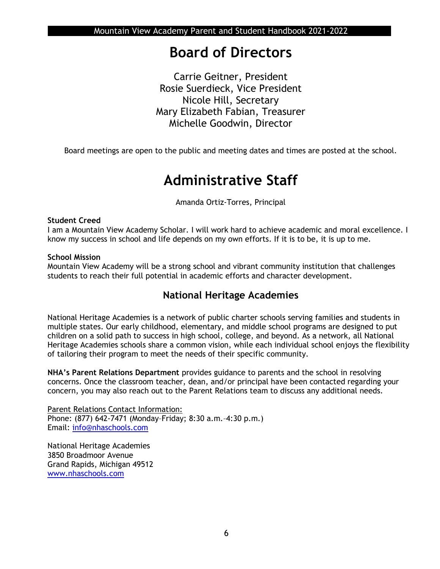## **Board of Directors**

Carrie Geitner, President Rosie Suerdieck, Vice President Nicole Hill, Secretary Mary Elizabeth Fabian, Treasurer Michelle Goodwin, Director

Board meetings are open to the public and meeting dates and times are posted at the school.

## **Administrative Staff**

Amanda Ortiz-Torres, Principal

### **Student Creed**

I am a Mountain View Academy Scholar. I will work hard to achieve academic and moral excellence. I know my success in school and life depends on my own efforts. If it is to be, it is up to me.

### **School Mission**

Mountain View Academy will be a strong school and vibrant community institution that challenges students to reach their full potential in academic efforts and character development.

## **National Heritage Academies**

National Heritage Academies is a network of public charter schools serving families and students in multiple states. Our early childhood, elementary, and middle school programs are designed to put children on a solid path to success in high school, college, and beyond. As a network, all National Heritage Academies schools share a common vision, while each individual school enjoys the flexibility of tailoring their program to meet the needs of their specific community.

**NHA's Parent Relations Department** provides guidance to parents and the school in resolving concerns. Once the classroom teacher, dean, and/or principal have been contacted regarding your concern, you may also reach out to the Parent Relations team to discuss any additional needs.

Parent Relations Contact Information: Phone: (877) 642-7471 (Monday–Friday; 8:30 a.m.–4:30 p.m.) Email: [info@nhaschools.com](mailto:info@nhaschools.com)

National Heritage Academies 3850 Broadmoor Avenue Grand Rapids, Michigan 49512 [www.nhaschools.com](http://www.nhaschools.com/)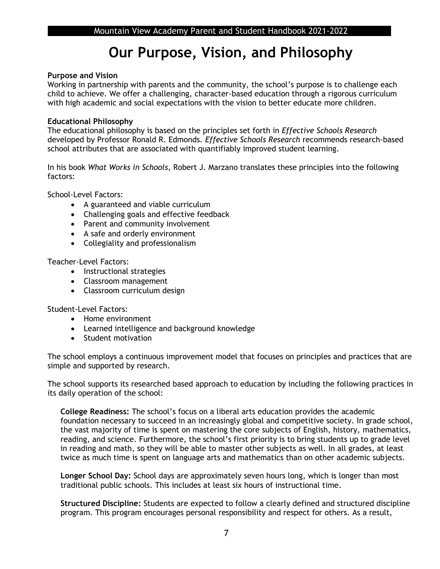## **Our Purpose, Vision, and Philosophy**

### **Purpose and Vision**

Working in partnership with parents and the community, the school's purpose is to challenge each child to achieve. We offer a challenging, character-based education through a rigorous curriculum with high academic and social expectations with the vision to better educate more children.

### **Educational Philosophy**

The educational philosophy is based on the principles set forth in *Effective Schools Research*  developed by Professor Ronald R. Edmonds*. Effective Schools Research* recommends research-based school attributes that are associated with quantifiably improved student learning.

In his book *What Works in Schools*, Robert J. Marzano translates these principles into the following factors:

School-Level Factors:

- A guaranteed and viable curriculum
- Challenging goals and effective feedback
- Parent and community involvement
- A safe and orderly environment
- Collegiality and professionalism

Teacher-Level Factors:

- Instructional strategies
- Classroom management
- Classroom curriculum design

Student-Level Factors:

- Home environment
- Learned intelligence and background knowledge
- Student motivation

The school employs a continuous improvement model that focuses on principles and practices that are simple and supported by research.

The school supports its researched based approach to education by including the following practices in its daily operation of the school:

**College Readiness:** The school's focus on a liberal arts education provides the academic foundation necessary to succeed in an increasingly global and competitive society. In grade school, the vast majority of time is spent on mastering the core subjects of English, history, mathematics, reading, and science. Furthermore, the school's first priority is to bring students up to grade level in reading and math, so they will be able to master other subjects as well. In all grades, at least twice as much time is spent on language arts and mathematics than on other academic subjects.

**Longer School Day:** School days are approximately seven hours long, which is longer than most traditional public schools. This includes at least six hours of instructional time.

**Structured Discipline:** Students are expected to follow a clearly defined and structured discipline program. This program encourages personal responsibility and respect for others. As a result,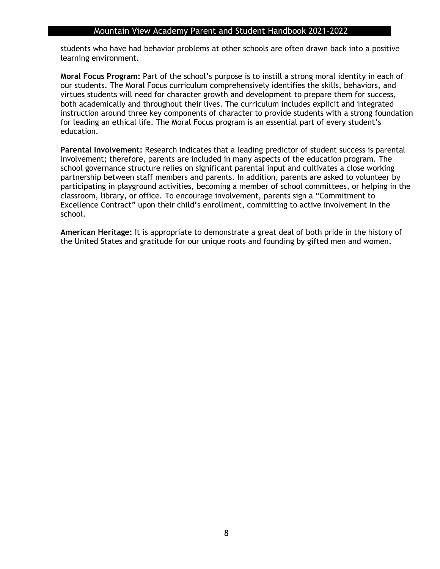students who have had behavior problems at other schools are often drawn back into a positive learning environment.

**Moral Focus Program:** Part of the school's purpose is to instill a strong moral identity in each of our students. The Moral Focus curriculum comprehensively identifies the skills, behaviors, and virtues students will need for character growth and development to prepare them for success, both academically and throughout their lives. The curriculum includes explicit and integrated instruction around three key components of character to provide students with a strong foundation for leading an ethical life. The Moral Focus program is an essential part of every student's education.

**Parental Involvement:** Research indicates that a leading predictor of student success is parental involvement; therefore, parents are included in many aspects of the education program. The school governance structure relies on significant parental input and cultivates a close working partnership between staff members and parents. In addition, parents are asked to volunteer by participating in playground activities, becoming a member of school committees, or helping in the classroom, library, or office. To encourage involvement, parents sign a "Commitment to Excellence Contract" upon their child's enrollment, committing to active involvement in the school.

**American Heritage:** It is appropriate to demonstrate a great deal of both pride in the history of the United States and gratitude for our unique roots and founding by gifted men and women.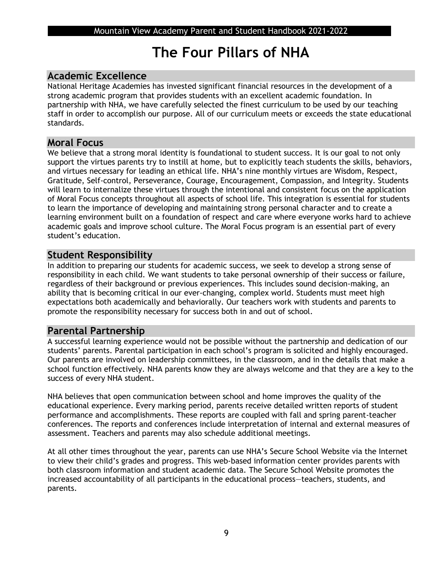## **The Four Pillars of NHA**

## **Academic Excellence**

National Heritage Academies has invested significant financial resources in the development of a strong academic program that provides students with an excellent academic foundation. In partnership with NHA, we have carefully selected the finest curriculum to be used by our teaching staff in order to accomplish our purpose. All of our curriculum meets or exceeds the state educational standards.

### **Moral Focus**

We believe that a strong moral identity is foundational to student success. It is our goal to not only support the virtues parents try to instill at home, but to explicitly teach students the skills, behaviors, and virtues necessary for leading an ethical life. NHA's nine monthly virtues are Wisdom, Respect, Gratitude, Self-control, Perseverance, Courage, Encouragement, Compassion, and Integrity. Students will learn to internalize these virtues through the intentional and consistent focus on the application of Moral Focus concepts throughout all aspects of school life. This integration is essential for students to learn the importance of developing and maintaining strong personal character and to create a learning environment built on a foundation of respect and care where everyone works hard to achieve academic goals and improve school culture. The Moral Focus program is an essential part of every student's education.

## **Student Responsibility**

In addition to preparing our students for academic success, we seek to develop a strong sense of responsibility in each child. We want students to take personal ownership of their success or failure, regardless of their background or previous experiences. This includes sound decision-making, an ability that is becoming critical in our ever-changing, complex world. Students must meet high expectations both academically and behaviorally. Our teachers work with students and parents to promote the responsibility necessary for success both in and out of school.

## **Parental Partnership**

A successful learning experience would not be possible without the partnership and dedication of our students' parents. Parental participation in each school's program is solicited and highly encouraged. Our parents are involved on leadership committees, in the classroom, and in the details that make a school function effectively. NHA parents know they are always welcome and that they are a key to the success of every NHA student.

NHA believes that open communication between school and home improves the quality of the educational experience. Every marking period, parents receive detailed written reports of student performance and accomplishments. These reports are coupled with fall and spring parent-teacher conferences. The reports and conferences include interpretation of internal and external measures of assessment. Teachers and parents may also schedule additional meetings.

At all other times throughout the year, parents can use NHA's Secure School Website via the Internet to view their child's grades and progress. This web-based information center provides parents with both classroom information and student academic data. The Secure School Website promotes the increased accountability of all participants in the educational process—teachers, students, and parents.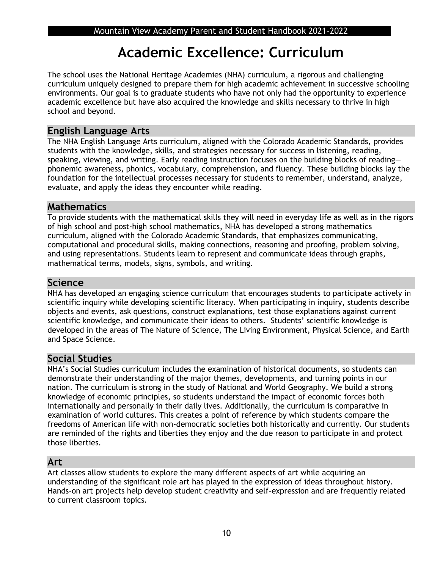## **Academic Excellence: Curriculum**

The school uses the National Heritage Academies (NHA) curriculum, a rigorous and challenging curriculum uniquely designed to prepare them for high academic achievement in successive schooling environments. Our goal is to graduate students who have not only had the opportunity to experience academic excellence but have also acquired the knowledge and skills necessary to thrive in high school and beyond.

### **English Language Arts**

The NHA English Language Arts curriculum, aligned with the Colorado Academic Standards, provides students with the knowledge, skills, and strategies necessary for success in listening, reading, speaking, viewing, and writing. Early reading instruction focuses on the building blocks of reading phonemic awareness, phonics, vocabulary, comprehension, and fluency. These building blocks lay the foundation for the intellectual processes necessary for students to remember, understand, analyze, evaluate, and apply the ideas they encounter while reading.

## **Mathematics**

To provide students with the mathematical skills they will need in everyday life as well as in the rigors of high school and post-high school mathematics, NHA has developed a strong mathematics curriculum, aligned with the Colorado Academic Standards, that emphasizes communicating, computational and procedural skills, making connections, reasoning and proofing, problem solving, and using representations. Students learn to represent and communicate ideas through graphs, mathematical terms, models, signs, symbols, and writing.

### **Science**

NHA has developed an engaging science curriculum that encourages students to participate actively in scientific inquiry while developing scientific literacy. When participating in inquiry, students describe objects and events, ask questions, construct explanations, test those explanations against current scientific knowledge, and communicate their ideas to others. Students' scientific knowledge is developed in the areas of The Nature of Science, The Living Environment, Physical Science, and Earth and Space Science.

## **Social Studies**

NHA's Social Studies curriculum includes the examination of historical documents, so students can demonstrate their understanding of the major themes, developments, and turning points in our nation. The curriculum is strong in the study of National and World Geography. We build a strong knowledge of economic principles, so students understand the impact of economic forces both internationally and personally in their daily lives. Additionally, the curriculum is comparative in examination of world cultures. This creates a point of reference by which students compare the freedoms of American life with non-democratic societies both historically and currently. Our students are reminded of the rights and liberties they enjoy and the due reason to participate in and protect those liberties.

## **Art**

Art classes allow students to explore the many different aspects of art while acquiring an understanding of the significant role art has played in the expression of ideas throughout history. Hands-on art projects help develop student creativity and self-expression and are frequently related to current classroom topics.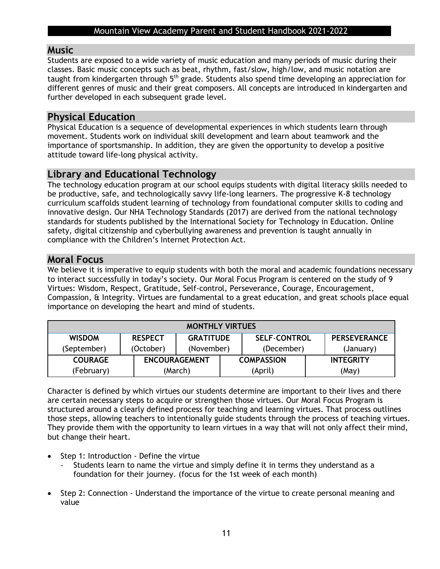### **Music**

Students are exposed to a wide variety of music education and many periods of music during their classes. Basic music concepts such as beat, rhythm, fast/slow, high/low, and music notation are taught from kindergarten through 5<sup>th</sup> grade. Students also spend time developing an appreciation for different genres of music and their great composers. All concepts are introduced in kindergarten and further developed in each subsequent grade level.

## **Physical Education**

Physical Education is a sequence of developmental experiences in which students learn through movement. Students work on individual skill development and learn about teamwork and the importance of sportsmanship. In addition, they are given the opportunity to develop a positive attitude toward life-long physical activity.

## **Library and Educational Technology**

The technology education program at our school equips students with digital literacy skills needed to be productive, safe, and technologically savvy life-long learners. The progressive K-8 technology curriculum scaffolds student learning of technology from foundational computer skills to coding and innovative design. Our NHA Technology Standards (2017) are derived from the national technology standards for students published by the International Society for Technology in Education. Online safety, digital citizenship and cyberbullying awareness and prevention is taught annually in compliance with the Children's Internet Protection Act.

## **Moral Focus**

We believe it is imperative to equip students with both the moral and academic foundations necessary to interact successfully in today's society. Our Moral Focus Program is centered on the study of 9 Virtues: Wisdom, Respect, Gratitude, Self-control, Perseverance, Courage, Encouragement, Compassion, & Integrity. Virtues are fundamental to a great education, and great schools place equal importance on developing the heart and mind of students.

| <b>MONTHLY VIRTUES</b> |                |                      |  |                     |  |                     |
|------------------------|----------------|----------------------|--|---------------------|--|---------------------|
| <b>WISDOM</b>          | <b>RESPECT</b> | <b>GRATITUDE</b>     |  | <b>SELF-CONTROL</b> |  | <b>PERSEVERANCE</b> |
| (September)            | (October)      | (November)           |  | (December)          |  | (January)           |
| <b>COURAGE</b>         |                | <b>ENCOURAGEMENT</b> |  | <b>COMPASSION</b>   |  | <b>INTEGRITY</b>    |
| (February)             |                | (March)              |  | (April)             |  | (May)               |

Character is defined by which virtues our students determine are important to their lives and there are certain necessary steps to acquire or strengthen those virtues. Our Moral Focus Program is structured around a clearly defined process for teaching and learning virtues. That process outlines those steps, allowing teachers to intentionally guide students through the process of teaching virtues. They provide them with the opportunity to learn virtues in a way that will not only affect their mind, but change their heart.

- Step 1: Introduction Define the virtue
	- Students learn to name the virtue and simply define it in terms they understand as a foundation for their journey. (focus for the 1st week of each month)
- Step 2: Connection Understand the importance of the virtue to create personal meaning and value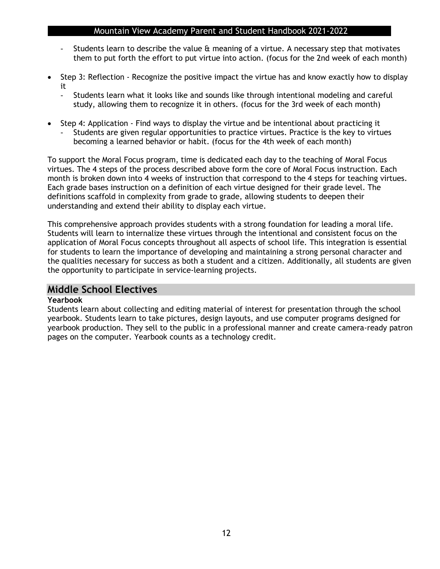- Students learn to describe the value & meaning of a virtue. A necessary step that motivates them to put forth the effort to put virtue into action. (focus for the 2nd week of each month)
- Step 3: Reflection Recognize the positive impact the virtue has and know exactly how to display it
	- Students learn what it looks like and sounds like through intentional modeling and careful study, allowing them to recognize it in others. (focus for the 3rd week of each month)
- Step 4: Application Find ways to display the virtue and be intentional about practicing it
	- Students are given regular opportunities to practice virtues. Practice is the key to virtues becoming a learned behavior or habit. (focus for the 4th week of each month)

To support the Moral Focus program, time is dedicated each day to the teaching of Moral Focus virtues. The 4 steps of the process described above form the core of Moral Focus instruction. Each month is broken down into 4 weeks of instruction that correspond to the 4 steps for teaching virtues. Each grade bases instruction on a definition of each virtue designed for their grade level. The definitions scaffold in complexity from grade to grade, allowing students to deepen their understanding and extend their ability to display each virtue.

This comprehensive approach provides students with a strong foundation for leading a moral life. Students will learn to internalize these virtues through the intentional and consistent focus on the application of Moral Focus concepts throughout all aspects of school life. This integration is essential for students to learn the importance of developing and maintaining a strong personal character and the qualities necessary for success as both a student and a citizen. Additionally, all students are given the opportunity to participate in service-learning projects.

### **Middle School Electives**

#### **Yearbook**

Students learn about collecting and editing material of interest for presentation through the school yearbook. Students learn to take pictures, design layouts, and use computer programs designed for yearbook production. They sell to the public in a professional manner and create camera-ready patron pages on the computer. Yearbook counts as a technology credit.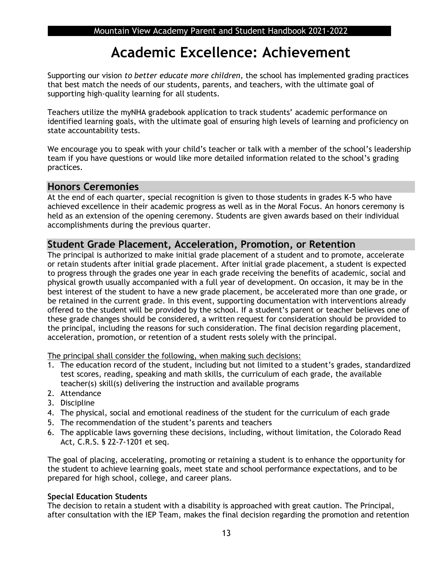## **Academic Excellence: Achievement**

Supporting our vision *to better educate more children*, the school has implemented grading practices that best match the needs of our students, parents, and teachers, with the ultimate goal of supporting high-quality learning for all students.

Teachers utilize the myNHA gradebook application to track students' academic performance on identified learning goals, with the ultimate goal of ensuring high levels of learning and proficiency on state accountability tests.

We encourage you to speak with your child's teacher or talk with a member of the school's leadership team if you have questions or would like more detailed information related to the school's grading practices.

## **Honors Ceremonies**

At the end of each quarter, special recognition is given to those students in grades K-5 who have achieved excellence in their academic progress as well as in the Moral Focus. An honors ceremony is held as an extension of the opening ceremony. Students are given awards based on their individual accomplishments during the previous quarter.

### **Student Grade Placement, Acceleration, Promotion, or Retention**

The principal is authorized to make initial grade placement of a student and to promote, accelerate or retain students after initial grade placement. After initial grade placement, a student is expected to progress through the grades one year in each grade receiving the benefits of academic, social and physical growth usually accompanied with a full year of development. On occasion, it may be in the best interest of the student to have a new grade placement, be accelerated more than one grade, or be retained in the current grade. In this event, supporting documentation with interventions already offered to the student will be provided by the school. If a student's parent or teacher believes one of these grade changes should be considered, a written request for consideration should be provided to the principal, including the reasons for such consideration. The final decision regarding placement, acceleration, promotion, or retention of a student rests solely with the principal.

The principal shall consider the following, when making such decisions:

- 1. The education record of the student, including but not limited to a student's grades, standardized test scores, reading, speaking and math skills, the curriculum of each grade, the available teacher(s) skill(s) delivering the instruction and available programs
- 2. Attendance
- 3. Discipline
- 4. The physical, social and emotional readiness of the student for the curriculum of each grade
- 5. The recommendation of the student's parents and teachers
- 6. The applicable laws governing these decisions, including, without limitation, the Colorado Read Act, C.R.S. § 22-7-1201 et seq.

The goal of placing, accelerating, promoting or retaining a student is to enhance the opportunity for the student to achieve learning goals, meet state and school performance expectations, and to be prepared for high school, college, and career plans.

### **Special Education Students**

The decision to retain a student with a disability is approached with great caution. The Principal, after consultation with the IEP Team, makes the final decision regarding the promotion and retention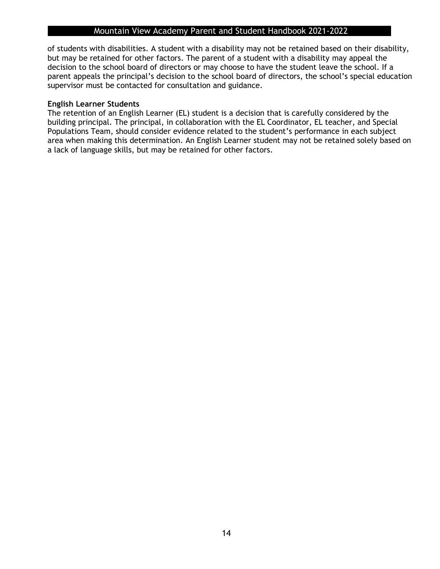of students with disabilities. A student with a disability may not be retained based on their disability, but may be retained for other factors. The parent of a student with a disability may appeal the decision to the school board of directors or may choose to have the student leave the school. If a parent appeals the principal's decision to the school board of directors, the school's special education supervisor must be contacted for consultation and guidance.

### **English Learner Students**

The retention of an English Learner (EL) student is a decision that is carefully considered by the building principal. The principal, in collaboration with the EL Coordinator, EL teacher, and Special Populations Team, should consider evidence related to the student's performance in each subject area when making this determination. An English Learner student may not be retained solely based on a lack of language skills, but may be retained for other factors.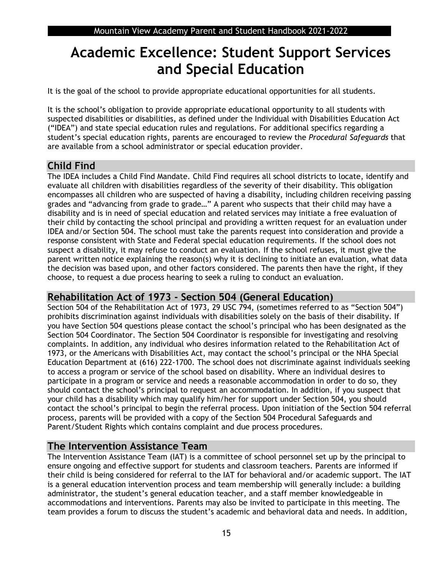## **Academic Excellence: Student Support Services and Special Education**

It is the goal of the school to provide appropriate educational opportunities for all students.

It is the school's obligation to provide appropriate educational opportunity to all students with suspected disabilities or disabilities, as defined under the Individual with Disabilities Education Act ("IDEA") and state special education rules and regulations. For additional specifics regarding a student's special education rights, parents are encouraged to review the *Procedural Safeguards* that are available from a school administrator or special education provider.

## **Child Find**

The IDEA includes a Child Find Mandate. Child Find requires all school districts to locate, identify and evaluate all children with disabilities regardless of the severity of their disability. This obligation encompasses all children who are suspected of having a disability, including children receiving passing grades and "advancing from grade to grade…" A parent who suspects that their child may have a disability and is in need of special education and related services may initiate a free evaluation of their child by contacting the school principal and providing a written request for an evaluation under IDEA and/or Section 504. The school must take the parents request into consideration and provide a response consistent with State and Federal special education requirements. If the school does not suspect a disability, it may refuse to conduct an evaluation. If the school refuses, it must give the parent written notice explaining the reason(s) why it is declining to initiate an evaluation, what data the decision was based upon, and other factors considered. The parents then have the right, if they choose, to request a due process hearing to seek a ruling to conduct an evaluation.

## **Rehabilitation Act of 1973 - Section 504 (General Education)**

Section 504 of the Rehabilitation Act of 1973, 29 USC 794, (sometimes referred to as "Section 504") prohibits discrimination against individuals with disabilities solely on the basis of their disability. If you have Section 504 questions please contact the school's principal who has been designated as the Section 504 Coordinator. The Section 504 Coordinator is responsible for investigating and resolving complaints. In addition, any individual who desires information related to the Rehabilitation Act of 1973, or the Americans with Disabilities Act, may contact the school's principal or the NHA Special Education Department at (616) 222-1700. The school does not discriminate against individuals seeking to access a program or service of the school based on disability. Where an individual desires to participate in a program or service and needs a reasonable accommodation in order to do so, they should contact the school's principal to request an accommodation. In addition, if you suspect that your child has a disability which may qualify him/her for support under Section 504, you should contact the school's principal to begin the referral process. Upon initiation of the Section 504 referral process, parents will be provided with a copy of the Section 504 Procedural Safeguards and Parent/Student Rights which contains complaint and due process procedures.

## **The Intervention Assistance Team**

The Intervention Assistance Team (IAT) is a committee of school personnel set up by the principal to ensure ongoing and effective support for students and classroom teachers. Parents are informed if their child is being considered for referral to the IAT for behavioral and/or academic support. The IAT is a general education intervention process and team membership will generally include: a building administrator, the student's general education teacher, and a staff member knowledgeable in accommodations and interventions. Parents may also be invited to participate in this meeting. The team provides a forum to discuss the student's academic and behavioral data and needs. In addition,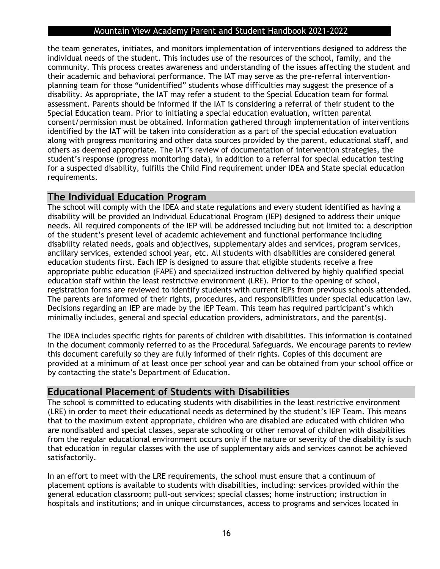the team generates, initiates, and monitors implementation of interventions designed to address the individual needs of the student. This includes use of the resources of the school, family, and the community. This process creates awareness and understanding of the issues affecting the student and their academic and behavioral performance. The IAT may serve as the pre-referral interventionplanning team for those "unidentified" students whose difficulties may suggest the presence of a disability. As appropriate, the IAT may refer a student to the Special Education team for formal assessment. Parents should be informed if the IAT is considering a referral of their student to the Special Education team. Prior to initiating a special education evaluation, written parental consent/permission must be obtained. Information gathered through implementation of interventions identified by the IAT will be taken into consideration as a part of the special education evaluation along with progress monitoring and other data sources provided by the parent, educational staff, and others as deemed appropriate. The IAT's review of documentation of intervention strategies, the student's response (progress monitoring data), in addition to a referral for special education testing for a suspected disability, fulfills the Child Find requirement under IDEA and State special education requirements.

## **The Individual Education Program**

The school will comply with the IDEA and state regulations and every student identified as having a disability will be provided an Individual Educational Program (IEP) designed to address their unique needs. All required components of the IEP will be addressed including but not limited to: a description of the student's present level of academic achievement and functional performance including disability related needs, goals and objectives, supplementary aides and services, program services, ancillary services, extended school year, etc. All students with disabilities are considered general education students first. Each IEP is designed to assure that eligible students receive a free appropriate public education (FAPE) and specialized instruction delivered by highly qualified special education staff within the least restrictive environment (LRE). Prior to the opening of school, registration forms are reviewed to identify students with current IEPs from previous schools attended. The parents are informed of their rights, procedures, and responsibilities under special education law. Decisions regarding an IEP are made by the IEP Team. This team has required participant's which minimally includes, general and special education providers, administrators, and the parent(s).

The IDEA includes specific rights for parents of children with disabilities. This information is contained in the document commonly referred to as the Procedural Safeguards. We encourage parents to review this document carefully so they are fully informed of their rights. Copies of this document are provided at a minimum of at least once per school year and can be obtained from your school office or by contacting the state's Department of Education.

## **Educational Placement of Students with Disabilities**

The school is committed to educating students with disabilities in the least restrictive environment (LRE) in order to meet their educational needs as determined by the student's IEP Team. This means that to the maximum extent appropriate, children who are disabled are educated with children who are nondisabled and special classes, separate schooling or other removal of children with disabilities from the regular educational environment occurs only if the nature or severity of the disability is such that education in regular classes with the use of supplementary aids and services cannot be achieved satisfactorily.

In an effort to meet with the LRE requirements, the school must ensure that a continuum of placement options is available to students with disabilities, including: services provided within the general education classroom; pull-out services; special classes; home instruction; instruction in hospitals and institutions; and in unique circumstances, access to programs and services located in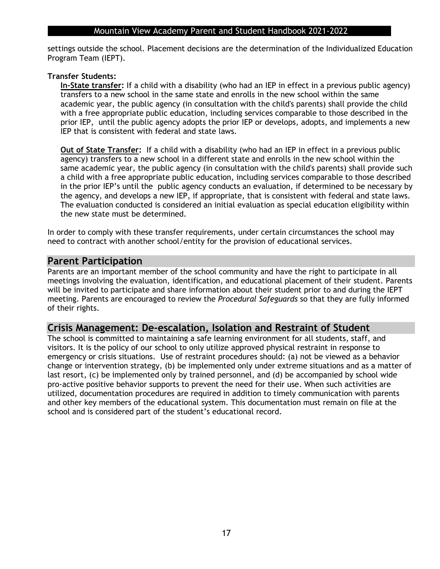settings outside the school. Placement decisions are the determination of the Individualized Education Program Team (IEPT).

### **Transfer Students:**

**In-State transfer:** If a child with a disability (who had an IEP in effect in a previous public agency) transfers to a new school in the same state and enrolls in the new school within the same academic year, the public agency (in consultation with the child's parents) shall provide the child with a free appropriate public education, including services comparable to those described in the prior IEP, until the public agency adopts the prior IEP or develops, adopts, and implements a new IEP that is consistent with federal and state laws.

**Out of State Transfer:** If a child with a disability (who had an IEP in effect in a previous public agency) transfers to a new school in a different state and enrolls in the new school within the same academic year, the public agency (in consultation with the child's parents) shall provide such a child with a free appropriate public education, including services comparable to those described in the prior IEP's until the public agency conducts an evaluation, if determined to be necessary by the agency, and develops a new IEP, if appropriate, that is consistent with federal and state laws. The evaluation conducted is considered an initial evaluation as special education eligibility within the new state must be determined.

In order to comply with these transfer requirements, under certain circumstances the school may need to contract with another school/entity for the provision of educational services.

### **Parent Participation**

Parents are an important member of the school community and have the right to participate in all meetings involving the evaluation, identification, and educational placement of their student. Parents will be invited to participate and share information about their student prior to and during the IEPT meeting. Parents are encouraged to review the *Procedural Safeguards* so that they are fully informed of their rights.

### **Crisis Management: De-escalation, Isolation and Restraint of Student**

The school is committed to maintaining a safe learning environment for all students, staff, and visitors. It is the policy of our school to only utilize approved physical restraint in response to emergency or crisis situations. Use of restraint procedures should: (a) not be viewed as a behavior change or intervention strategy, (b) be implemented only under extreme situations and as a matter of last resort, (c) be implemented only by trained personnel, and (d) be accompanied by school wide pro-active positive behavior supports to prevent the need for their use. When such activities are utilized, documentation procedures are required in addition to timely communication with parents and other key members of the educational system. This documentation must remain on file at the school and is considered part of the student's educational record.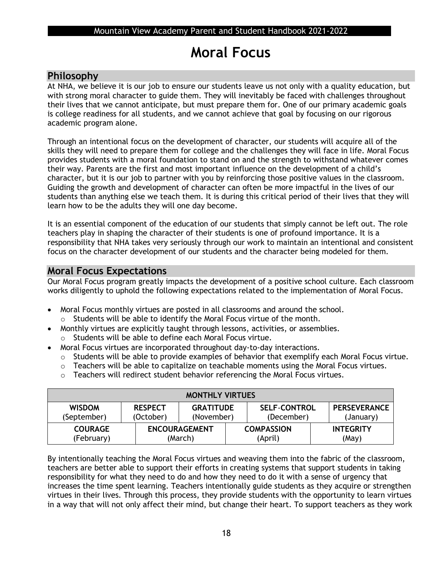## **Moral Focus**

### **Philosophy**

At NHA, we believe it is our job to ensure our students leave us not only with a quality education, but with strong moral character to guide them. They will inevitably be faced with challenges throughout their lives that we cannot anticipate, but must prepare them for. One of our primary academic goals is college readiness for all students, and we cannot achieve that goal by focusing on our rigorous academic program alone.

Through an intentional focus on the development of character, our students will acquire all of the skills they will need to prepare them for college and the challenges they will face in life. Moral Focus provides students with a moral foundation to stand on and the strength to withstand whatever comes their way. Parents are the first and most important influence on the development of a child's character, but it is our job to partner with you by reinforcing those positive values in the classroom. Guiding the growth and development of character can often be more impactful in the lives of our students than anything else we teach them. It is during this critical period of their lives that they will learn how to be the adults they will one day become.

It is an essential component of the education of our students that simply cannot be left out. The role teachers play in shaping the character of their students is one of profound importance. It is a responsibility that NHA takes very seriously through our work to maintain an intentional and consistent focus on the character development of our students and the character being modeled for them.

### **Moral Focus Expectations**

Our Moral Focus program greatly impacts the development of a positive school culture. Each classroom works diligently to uphold the following expectations related to the implementation of Moral Focus.

- Moral Focus monthly virtues are posted in all classrooms and around the school. o Students will be able to identify the Moral Focus virtue of the month.
- Monthly virtues are explicitly taught through lessons, activities, or assemblies.
- o Students will be able to define each Moral Focus virtue.
- Moral Focus virtues are incorporated throughout day-to-day interactions.
	- o Students will be able to provide examples of behavior that exemplify each Moral Focus virtue.
	- o Teachers will be able to capitalize on teachable moments using the Moral Focus virtues.
	- o Teachers will redirect student behavior referencing the Moral Focus virtues.

| <b>MONTHLY VIRTUES</b>       |                             |                                 |  |                                   |                                  |
|------------------------------|-----------------------------|---------------------------------|--|-----------------------------------|----------------------------------|
| <b>WISDOM</b><br>(September) | <b>RESPECT</b><br>(October) | <b>GRATITUDE</b><br>(November)  |  | <b>SELF-CONTROL</b><br>(December) | <b>PERSEVERANCE</b><br>(January) |
| <b>COURAGE</b><br>(February) |                             | <b>ENCOURAGEMENT</b><br>(March) |  | <b>COMPASSION</b><br>(April)      | <b>INTEGRITY</b><br>(May)        |

By intentionally teaching the Moral Focus virtues and weaving them into the fabric of the classroom, teachers are better able to support their efforts in creating systems that support students in taking responsibility for what they need to do and how they need to do it with a sense of urgency that increases the time spent learning. Teachers intentionally guide students as they acquire or strengthen virtues in their lives. Through this process, they provide students with the opportunity to learn virtues in a way that will not only affect their mind, but change their heart. To support teachers as they work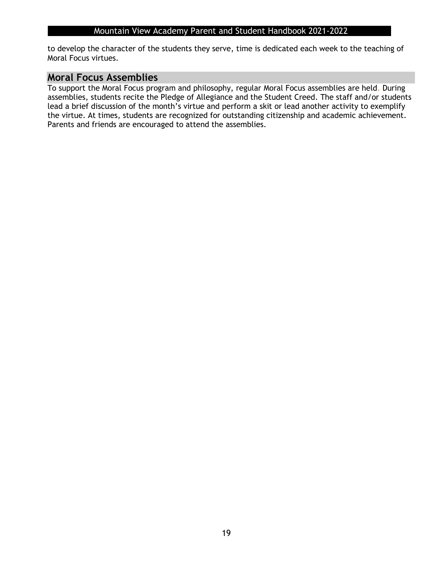to develop the character of the students they serve, time is dedicated each week to the teaching of Moral Focus virtues.

### **Moral Focus Assemblies**

To support the Moral Focus program and philosophy, regular Moral Focus assemblies are held. During assemblies, students recite the Pledge of Allegiance and the Student Creed. The staff and/or students lead a brief discussion of the month's virtue and perform a skit or lead another activity to exemplify the virtue. At times, students are recognized for outstanding citizenship and academic achievement. Parents and friends are encouraged to attend the assemblies.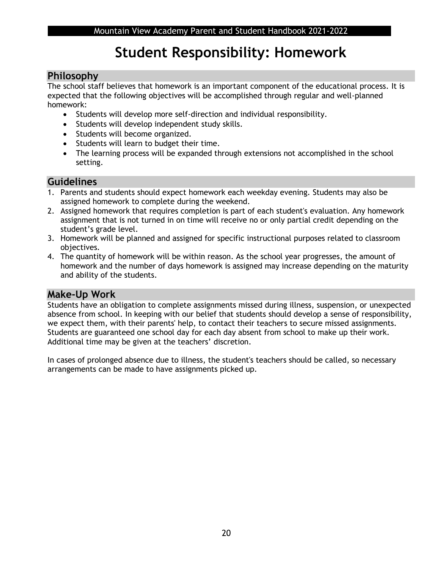## **Student Responsibility: Homework**

### **Philosophy**

The school staff believes that homework is an important component of the educational process. It is expected that the following objectives will be accomplished through regular and well-planned homework:

- Students will develop more self-direction and individual responsibility.
- Students will develop independent study skills.
- Students will become organized.
- Students will learn to budget their time.
- The learning process will be expanded through extensions not accomplished in the school setting.

### **Guidelines**

- 1. Parents and students should expect homework each weekday evening. Students may also be assigned homework to complete during the weekend.
- 2. Assigned homework that requires completion is part of each student's evaluation. Any homework assignment that is not turned in on time will receive no or only partial credit depending on the student's grade level.
- 3. Homework will be planned and assigned for specific instructional purposes related to classroom objectives.
- 4. The quantity of homework will be within reason. As the school year progresses, the amount of homework and the number of days homework is assigned may increase depending on the maturity and ability of the students.

### **Make-Up Work**

Students have an obligation to complete assignments missed during illness, suspension, or unexpected absence from school. In keeping with our belief that students should develop a sense of responsibility, we expect them, with their parents' help, to contact their teachers to secure missed assignments. Students are guaranteed one school day for each day absent from school to make up their work. Additional time may be given at the teachers' discretion.

In cases of prolonged absence due to illness, the student's teachers should be called, so necessary arrangements can be made to have assignments picked up.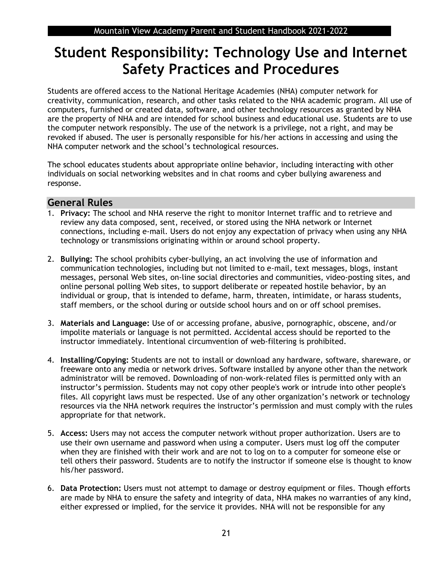## **Student Responsibility: Technology Use and Internet Safety Practices and Procedures**

Students are offered access to the National Heritage Academies (NHA) computer network for creativity, communication, research, and other tasks related to the NHA academic program. All use of computers, furnished or created data, software, and other technology resources as granted by NHA are the property of NHA and are intended for school business and educational use. Students are to use the computer network responsibly. The use of the network is a privilege, not a right, and may be revoked if abused. The user is personally responsible for his/her actions in accessing and using the NHA computer network and the school's technological resources.

The school educates students about appropriate online behavior, including interacting with other individuals on social networking websites and in chat rooms and cyber bullying awareness and response.

### **General Rules**

- 1. **Privacy:** The school and NHA reserve the right to monitor Internet traffic and to retrieve and review any data composed, sent, received, or stored using the NHA network or Internet connections, including e-mail. Users do not enjoy any expectation of privacy when using any NHA technology or transmissions originating within or around school property.
- 2. **Bullying:** The school prohibits cyber-bullying, an act involving the use of information and communication technologies, including but not limited to e-mail, text messages, blogs, instant messages, personal Web sites, on-line social directories and communities, video-posting sites, and online personal polling Web sites, to support deliberate or repeated hostile behavior, by an individual or group, that is intended to defame, harm, threaten, intimidate, or harass students, staff members, or the school during or outside school hours and on or off school premises.
- 3. **Materials and Language:** Use of or accessing profane, abusive, pornographic, obscene, and/or impolite materials or language is not permitted. Accidental access should be reported to the instructor immediately. Intentional circumvention of web-filtering is prohibited.
- 4. **Installing/Copying:** Students are not to install or download any hardware, software, shareware, or freeware onto any media or network drives. Software installed by anyone other than the network administrator will be removed. Downloading of non-work-related files is permitted only with an instructor's permission. Students may not copy other people's work or intrude into other people's files. All copyright laws must be respected. Use of any other organization's network or technology resources via the NHA network requires the instructor's permission and must comply with the rules appropriate for that network.
- 5. **Access:** Users may not access the computer network without proper authorization. Users are to use their own username and password when using a computer. Users must log off the computer when they are finished with their work and are not to log on to a computer for someone else or tell others their password. Students are to notify the instructor if someone else is thought to know his/her password.
- 6. **Data Protection:** Users must not attempt to damage or destroy equipment or files. Though efforts are made by NHA to ensure the safety and integrity of data, NHA makes no warranties of any kind, either expressed or implied, for the service it provides. NHA will not be responsible for any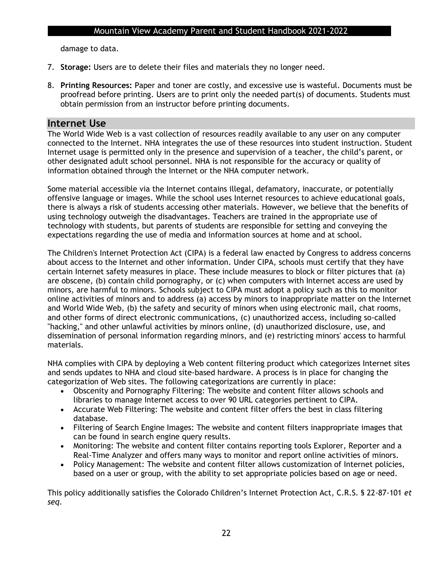damage to data.

- 7. **Storage:** Users are to delete their files and materials they no longer need.
- 8. **Printing Resources:** Paper and toner are costly, and excessive use is wasteful. Documents must be proofread before printing. Users are to print only the needed part(s) of documents. Students must obtain permission from an instructor before printing documents.

### **Internet Use**

The World Wide Web is a vast collection of resources readily available to any user on any computer connected to the Internet. NHA integrates the use of these resources into student instruction. Student Internet usage is permitted only in the presence and supervision of a teacher, the child's parent, or other designated adult school personnel. NHA is not responsible for the accuracy or quality of information obtained through the Internet or the NHA computer network.

Some material accessible via the Internet contains illegal, defamatory, inaccurate, or potentially offensive language or images. While the school uses Internet resources to achieve educational goals, there is always a risk of students accessing other materials. However, we believe that the benefits of using technology outweigh the disadvantages. Teachers are trained in the appropriate use of technology with students, but parents of students are responsible for setting and conveying the expectations regarding the use of media and information sources at home and at school.

The Children's Internet Protection Act (CIPA) is a federal law enacted by Congress to address concerns about access to the Internet and other information. Under CIPA, schools must certify that they have certain Internet safety measures in place. These include measures to block or filter pictures that (a) are obscene, (b) contain child pornography, or (c) when computers with Internet access are used by minors, are harmful to minors. Schools subject to CIPA must adopt a policy such as this to monitor online activities of minors and to address (a) access by minors to inappropriate matter on the Internet and World Wide Web, (b) the safety and security of minors when using electronic mail, chat rooms, and other forms of direct electronic communications, (c) unauthorized access, including so-called "hacking," and other unlawful activities by minors online, (d) unauthorized disclosure, use, and dissemination of personal information regarding minors, and (e) restricting minors' access to harmful materials.

NHA complies with CIPA by deploying a Web content filtering product which categorizes Internet sites and sends updates to NHA and cloud site-based hardware. A process is in place for changing the categorization of Web sites. The following categorizations are currently in place:

- Obscenity and Pornography Filtering: The website and content filter allows schools and libraries to manage Internet access to over 90 URL categories pertinent to CIPA.
- Accurate Web Filtering: The website and content filter offers the best in class filtering database.
- Filtering of Search Engine Images: The website and content filters inappropriate images that can be found in search engine query results.
- Monitoring: The website and content filter contains reporting tools Explorer, Reporter and a Real-Time Analyzer and offers many ways to monitor and report online activities of minors.
- Policy Management: The website and content filter allows customization of Internet policies, based on a user or group, with the ability to set appropriate policies based on age or need.

This policy additionally satisfies the Colorado Children's Internet Protection Act, C.R.S. § 22-87-101 *et seq*.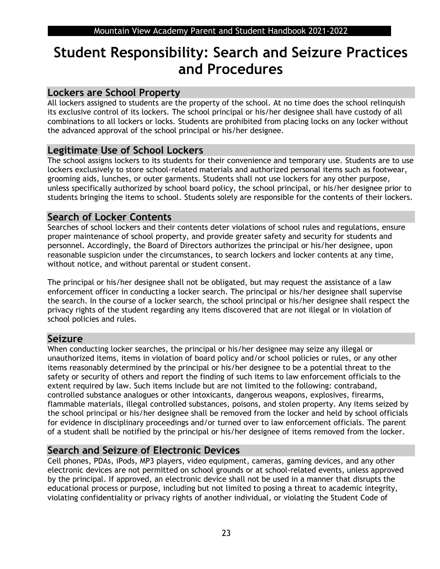## **Student Responsibility: Search and Seizure Practices and Procedures**

## **Lockers are School Property**

All lockers assigned to students are the property of the school. At no time does the school relinquish its exclusive control of its lockers. The school principal or his/her designee shall have custody of all combinations to all lockers or locks. Students are prohibited from placing locks on any locker without the advanced approval of the school principal or his/her designee.

## **Legitimate Use of School Lockers**

The school assigns lockers to its students for their convenience and temporary use. Students are to use lockers exclusively to store school-related materials and authorized personal items such as footwear, grooming aids, lunches, or outer garments. Students shall not use lockers for any other purpose, unless specifically authorized by school board policy, the school principal, or his/her designee prior to students bringing the items to school. Students solely are responsible for the contents of their lockers.

## **Search of Locker Contents**

Searches of school lockers and their contents deter violations of school rules and regulations, ensure proper maintenance of school property, and provide greater safety and security for students and personnel. Accordingly, the Board of Directors authorizes the principal or his/her designee, upon reasonable suspicion under the circumstances, to search lockers and locker contents at any time, without notice, and without parental or student consent.

The principal or his/her designee shall not be obligated, but may request the assistance of a law enforcement officer in conducting a locker search. The principal or his/her designee shall supervise the search. In the course of a locker search, the school principal or his/her designee shall respect the privacy rights of the student regarding any items discovered that are not illegal or in violation of school policies and rules.

## **Seizure**

When conducting locker searches, the principal or his/her designee may seize any illegal or unauthorized items, items in violation of board policy and/or school policies or rules, or any other items reasonably determined by the principal or his/her designee to be a potential threat to the safety or security of others and report the finding of such items to law enforcement officials to the extent required by law. Such items include but are not limited to the following: contraband, controlled substance analogues or other intoxicants, dangerous weapons, explosives, firearms, flammable materials, illegal controlled substances, poisons, and stolen property. Any items seized by the school principal or his/her designee shall be removed from the locker and held by school officials for evidence in disciplinary proceedings and/or turned over to law enforcement officials. The parent of a student shall be notified by the principal or his/her designee of items removed from the locker.

## **Search and Seizure of Electronic Devices**

Cell phones, PDAs, iPods, MP3 players, video equipment, cameras, gaming devices, and any other electronic devices are not permitted on school grounds or at school-related events, unless approved by the principal. If approved, an electronic device shall not be used in a manner that disrupts the educational process or purpose, including but not limited to posing a threat to academic integrity, violating confidentiality or privacy rights of another individual, or violating the Student Code of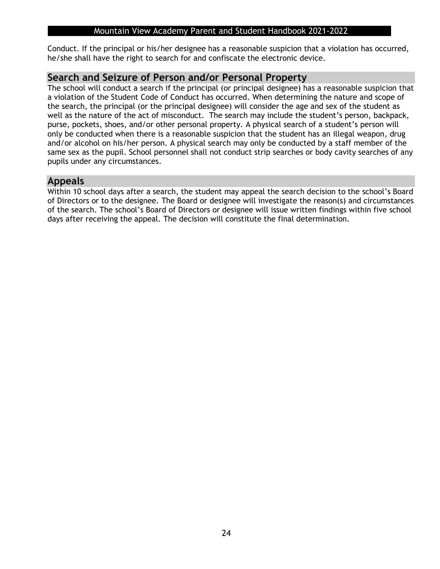Conduct. If the principal or his/her designee has a reasonable suspicion that a violation has occurred, he/she shall have the right to search for and confiscate the electronic device.

### **Search and Seizure of Person and/or Personal Property**

The school will conduct a search if the principal (or principal designee) has a reasonable suspicion that a violation of the Student Code of Conduct has occurred. When determining the nature and scope of the search, the principal (or the principal designee) will consider the age and sex of the student as well as the nature of the act of misconduct. The search may include the student's person, backpack, purse, pockets, shoes, and/or other personal property. A physical search of a student's person will only be conducted when there is a reasonable suspicion that the student has an illegal weapon, drug and/or alcohol on his/her person. A physical search may only be conducted by a staff member of the same sex as the pupil. School personnel shall not conduct strip searches or body cavity searches of any pupils under any circumstances.

## **Appeals**

Within 10 school days after a search, the student may appeal the search decision to the school's Board of Directors or to the designee. The Board or designee will investigate the reason(s) and circumstances of the search. The school's Board of Directors or designee will issue written findings within five school days after receiving the appeal. The decision will constitute the final determination.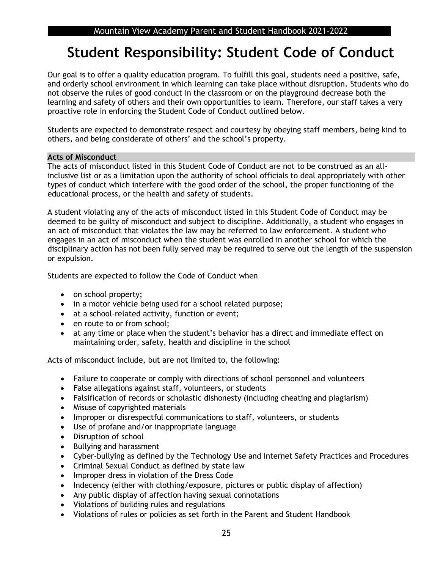## **Student Responsibility: Student Code of Conduct**

Our goal is to offer a quality education program. To fulfill this goal, students need a positive, safe, and orderly school environment in which learning can take place without disruption. Students who do not observe the rules of good conduct in the classroom or on the playground decrease both the learning and safety of others and their own opportunities to learn. Therefore, our staff takes a very proactive role in enforcing the Student Code of Conduct outlined below.

Students are expected to demonstrate respect and courtesy by obeying staff members, being kind to others, and being considerate of others' and the school's property.

### **Acts of Misconduct**

The acts of misconduct listed in this Student Code of Conduct are not to be construed as an allinclusive list or as a limitation upon the authority of school officials to deal appropriately with other types of conduct which interfere with the good order of the school, the proper functioning of the educational process, or the health and safety of students.

A student violating any of the acts of misconduct listed in this Student Code of Conduct may be deemed to be guilty of misconduct and subject to discipline. Additionally, a student who engages in an act of misconduct that violates the law may be referred to law enforcement. A student who engages in an act of misconduct when the student was enrolled in another school for which the disciplinary action has not been fully served may be required to serve out the length of the suspension or expulsion.

Students are expected to follow the Code of Conduct when

- on school property;
- in a motor vehicle being used for a school related purpose;
- at a school-related activity, function or event;
- en route to or from school;
- at any time or place when the student's behavior has a direct and immediate effect on maintaining order, safety, health and discipline in the school

Acts of misconduct include, but are not limited to, the following:

- Failure to cooperate or comply with directions of school personnel and volunteers
- False allegations against staff, volunteers, or students
- Falsification of records or scholastic dishonesty (including cheating and plagiarism)
- Misuse of copyrighted materials
- Improper or disrespectful communications to staff, volunteers, or students
- Use of profane and/or inappropriate language
- Disruption of school
- Bullying and harassment
- Cyber-bullying as defined by the Technology Use and Internet Safety Practices and Procedures
- Criminal Sexual Conduct as defined by state law
- Improper dress in violation of the Dress Code
- Indecency (either with clothing/exposure, pictures or public display of affection)
- Any public display of affection having sexual connotations
- Violations of building rules and regulations
- Violations of rules or policies as set forth in the Parent and Student Handbook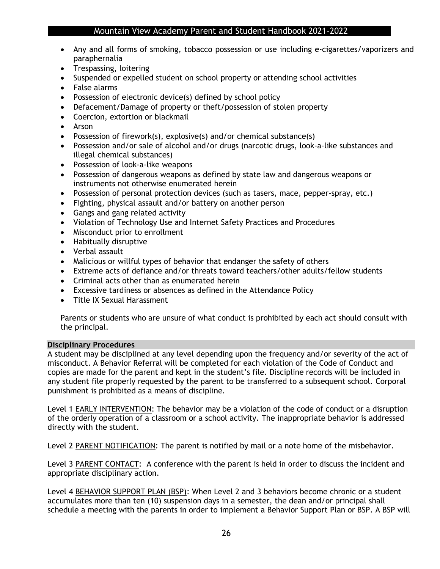- Any and all forms of smoking, tobacco possession or use including e-cigarettes/vaporizers and paraphernalia
- Trespassing, loitering
- Suspended or expelled student on school property or attending school activities
- False alarms
- Possession of electronic device(s) defined by school policy
- Defacement/Damage of property or theft/possession of stolen property
- Coercion, extortion or blackmail
- Arson
- Possession of firework(s), explosive(s) and/or chemical substance(s)
- Possession and/or sale of alcohol and/or drugs (narcotic drugs, look-a-like substances and illegal chemical substances)
- Possession of look-a-like weapons
- Possession of dangerous weapons as defined by state law and dangerous weapons or instruments not otherwise enumerated herein
- Possession of personal protection devices (such as tasers, mace, pepper-spray, etc.)
- Fighting, physical assault and/or battery on another person
- Gangs and gang related activity
- Violation of Technology Use and Internet Safety Practices and Procedures
- Misconduct prior to enrollment
- Habitually disruptive
- Verbal assault
- Malicious or willful types of behavior that endanger the safety of others
- Extreme acts of defiance and/or threats toward teachers/other adults/fellow students
- Criminal acts other than as enumerated herein
- Excessive tardiness or absences as defined in the Attendance Policy
- Title IX Sexual Harassment

Parents or students who are unsure of what conduct is prohibited by each act should consult with the principal.

### **Disciplinary Procedures**

A student may be disciplined at any level depending upon the frequency and/or severity of the act of misconduct. A Behavior Referral will be completed for each violation of the Code of Conduct and copies are made for the parent and kept in the student's file. Discipline records will be included in any student file properly requested by the parent to be transferred to a subsequent school. Corporal punishment is prohibited as a means of discipline.

Level 1 EARLY INTERVENTION: The behavior may be a violation of the code of conduct or a disruption of the orderly operation of a classroom or a school activity. The inappropriate behavior is addressed directly with the student.

Level 2 PARENT NOTIFICATION: The parent is notified by mail or a note home of the misbehavior.

Level 3 PARENT CONTACT: A conference with the parent is held in order to discuss the incident and appropriate disciplinary action.

Level 4 BEHAVIOR SUPPORT PLAN (BSP): When Level 2 and 3 behaviors become chronic or a student accumulates more than ten (10) suspension days in a semester, the dean and/or principal shall schedule a meeting with the parents in order to implement a Behavior Support Plan or BSP. A BSP will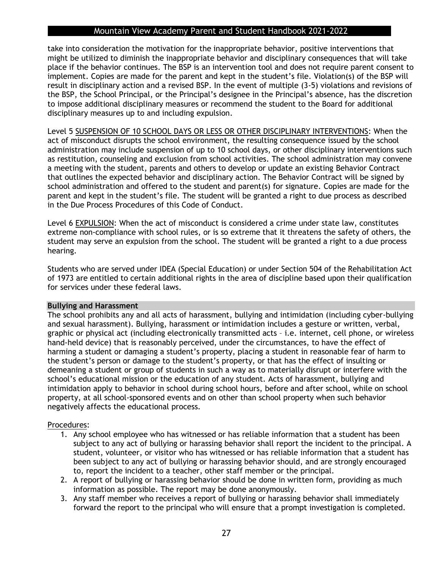take into consideration the motivation for the inappropriate behavior, positive interventions that might be utilized to diminish the inappropriate behavior and disciplinary consequences that will take place if the behavior continues. The BSP is an intervention tool and does not require parent consent to implement. Copies are made for the parent and kept in the student's file. Violation(s) of the BSP will result in disciplinary action and a revised BSP. In the event of multiple (3-5) violations and revisions of the BSP, the School Principal, or the Principal's designee in the Principal's absence, has the discretion to impose additional disciplinary measures or recommend the student to the Board for additional disciplinary measures up to and including expulsion.

Level 5 SUSPENSION OF 10 SCHOOL DAYS OR LESS OR OTHER DISCIPLINARY INTERVENTIONS: When the act of misconduct disrupts the school environment, the resulting consequence issued by the school administration may include suspension of up to 10 school days, or other disciplinary interventions such as restitution, counseling and exclusion from school activities. The school administration may convene a meeting with the student, parents and others to develop or update an existing Behavior Contract that outlines the expected behavior and disciplinary action. The Behavior Contract will be signed by school administration and offered to the student and parent(s) for signature. Copies are made for the parent and kept in the student's file. The student will be granted a right to due process as described in the Due Process Procedures of this Code of Conduct.

Level 6 EXPULSION: When the act of misconduct is considered a crime under state law, constitutes extreme non-compliance with school rules, or is so extreme that it threatens the safety of others, the student may serve an expulsion from the school. The student will be granted a right to a due process hearing.

Students who are served under IDEA (Special Education) or under Section 504 of the Rehabilitation Act of 1973 are entitled to certain additional rights in the area of discipline based upon their qualification for services under these federal laws.

#### **Bullying and Harassment**

The school prohibits any and all acts of harassment, bullying and intimidation (including cyber-bullying and sexual harassment). Bullying, harassment or intimidation includes a gesture or written, verbal, graphic or physical act (including electronically transmitted acts – i.e. internet, cell phone, or wireless hand-held device) that is reasonably perceived, under the circumstances, to have the effect of harming a student or damaging a student's property, placing a student in reasonable fear of harm to the student's person or damage to the student's property, or that has the effect of insulting or demeaning a student or group of students in such a way as to materially disrupt or interfere with the school's educational mission or the education of any student. Acts of harassment, bullying and intimidation apply to behavior in school during school hours, before and after school, while on school property, at all school-sponsored events and on other than school property when such behavior negatively affects the educational process.

### Procedures:

- 1. Any school employee who has witnessed or has reliable information that a student has been subject to any act of bullying or harassing behavior shall report the incident to the principal. A student, volunteer, or visitor who has witnessed or has reliable information that a student has been subject to any act of bullying or harassing behavior should, and are strongly encouraged to, report the incident to a teacher, other staff member or the principal.
- 2. A report of bullying or harassing behavior should be done in written form, providing as much information as possible. The report may be done anonymously.
- 3. Any staff member who receives a report of bullying or harassing behavior shall immediately forward the report to the principal who will ensure that a prompt investigation is completed.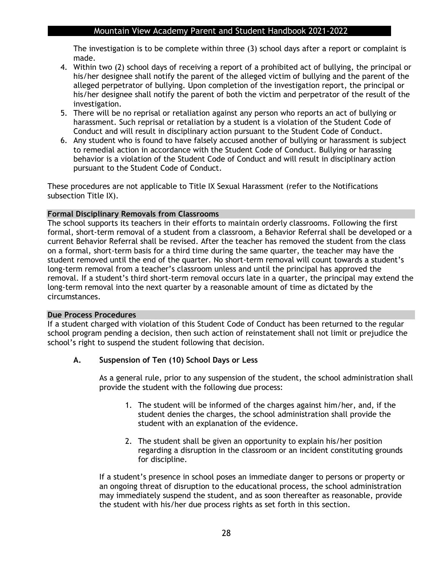The investigation is to be complete within three (3) school days after a report or complaint is made.

- 4. Within two (2) school days of receiving a report of a prohibited act of bullying, the principal or his/her designee shall notify the parent of the alleged victim of bullying and the parent of the alleged perpetrator of bullying. Upon completion of the investigation report, the principal or his/her designee shall notify the parent of both the victim and perpetrator of the result of the investigation.
- 5. There will be no reprisal or retaliation against any person who reports an act of bullying or harassment. Such reprisal or retaliation by a student is a violation of the Student Code of Conduct and will result in disciplinary action pursuant to the Student Code of Conduct.
- 6. Any student who is found to have falsely accused another of bullying or harassment is subject to remedial action in accordance with the Student Code of Conduct. Bullying or harassing behavior is a violation of the Student Code of Conduct and will result in disciplinary action pursuant to the Student Code of Conduct.

These procedures are not applicable to Title IX Sexual Harassment (refer to the Notifications subsection Title IX).

### **Formal Disciplinary Removals from Classrooms**

The school supports its teachers in their efforts to maintain orderly classrooms. Following the first formal, short-term removal of a student from a classroom, a Behavior Referral shall be developed or a current Behavior Referral shall be revised. After the teacher has removed the student from the class on a formal, short-term basis for a third time during the same quarter, the teacher may have the student removed until the end of the quarter. No short-term removal will count towards a student's long-term removal from a teacher's classroom unless and until the principal has approved the removal. If a student's third short-term removal occurs late in a quarter, the principal may extend the long-term removal into the next quarter by a reasonable amount of time as dictated by the circumstances.

#### **Due Process Procedures**

If a student charged with violation of this Student Code of Conduct has been returned to the regular school program pending a decision, then such action of reinstatement shall not limit or prejudice the school's right to suspend the student following that decision.

### **A. Suspension of Ten (10) School Days or Less**

As a general rule, prior to any suspension of the student, the school administration shall provide the student with the following due process:

- 1. The student will be informed of the charges against him/her, and, if the student denies the charges, the school administration shall provide the student with an explanation of the evidence.
- 2. The student shall be given an opportunity to explain his/her position regarding a disruption in the classroom or an incident constituting grounds for discipline.

If a student's presence in school poses an immediate danger to persons or property or an ongoing threat of disruption to the educational process, the school administration may immediately suspend the student, and as soon thereafter as reasonable, provide the student with his/her due process rights as set forth in this section.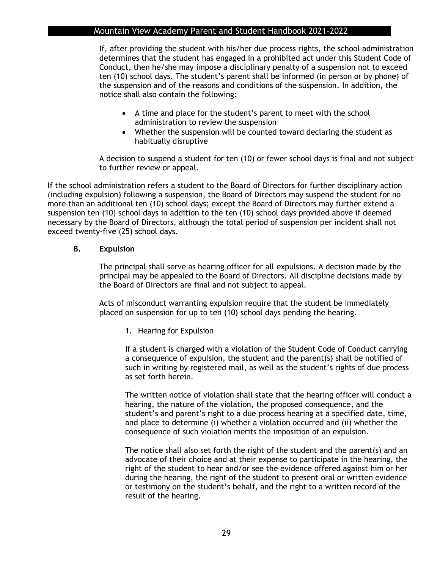If, after providing the student with his/her due process rights, the school administration determines that the student has engaged in a prohibited act under this Student Code of Conduct, then he/she may impose a disciplinary penalty of a suspension not to exceed ten (10) school days. The student's parent shall be informed (in person or by phone) of the suspension and of the reasons and conditions of the suspension. In addition, the notice shall also contain the following:

- A time and place for the student's parent to meet with the school administration to review the suspension
- Whether the suspension will be counted toward declaring the student as habitually disruptive

A decision to suspend a student for ten (10) or fewer school days is final and not subject to further review or appeal.

If the school administration refers a student to the Board of Directors for further disciplinary action (including expulsion) following a suspension, the Board of Directors may suspend the student for no more than an additional ten (10) school days; except the Board of Directors may further extend a suspension ten (10) school days in addition to the ten (10) school days provided above if deemed necessary by the Board of Directors, although the total period of suspension per incident shall not exceed twenty-five (25) school days.

### **B. Expulsion**

The principal shall serve as hearing officer for all expulsions. A decision made by the principal may be appealed to the Board of Directors. All discipline decisions made by the Board of Directors are final and not subject to appeal.

Acts of misconduct warranting expulsion require that the student be immediately placed on suspension for up to ten (10) school days pending the hearing.

1. Hearing for Expulsion

If a student is charged with a violation of the Student Code of Conduct carrying a consequence of expulsion, the student and the parent(s) shall be notified of such in writing by registered mail, as well as the student's rights of due process as set forth herein.

The written notice of violation shall state that the hearing officer will conduct a hearing, the nature of the violation, the proposed consequence, and the student's and parent's right to a due process hearing at a specified date, time, and place to determine (i) whether a violation occurred and (ii) whether the consequence of such violation merits the imposition of an expulsion.

The notice shall also set forth the right of the student and the parent(s) and an advocate of their choice and at their expense to participate in the hearing, the right of the student to hear and/or see the evidence offered against him or her during the hearing, the right of the student to present oral or written evidence or testimony on the student's behalf, and the right to a written record of the result of the hearing.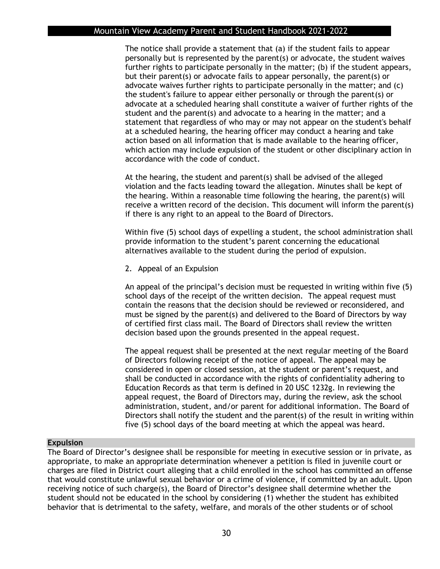The notice shall provide a statement that (a) if the student fails to appear personally but is represented by the parent(s) or advocate, the student waives further rights to participate personally in the matter; (b) if the student appears, but their parent(s) or advocate fails to appear personally, the parent(s) or advocate waives further rights to participate personally in the matter; and (c) the student's failure to appear either personally or through the parent(s) or advocate at a scheduled hearing shall constitute a waiver of further rights of the student and the parent(s) and advocate to a hearing in the matter; and a statement that regardless of who may or may not appear on the student's behalf at a scheduled hearing, the hearing officer may conduct a hearing and take action based on all information that is made available to the hearing officer, which action may include expulsion of the student or other disciplinary action in accordance with the code of conduct.

At the hearing, the student and parent(s) shall be advised of the alleged violation and the facts leading toward the allegation. Minutes shall be kept of the hearing. Within a reasonable time following the hearing, the parent(s) will receive a written record of the decision. This document will inform the parent(s) if there is any right to an appeal to the Board of Directors.

Within five (5) school days of expelling a student, the school administration shall provide information to the student's parent concerning the educational alternatives available to the student during the period of expulsion.

2. Appeal of an Expulsion

An appeal of the principal's decision must be requested in writing within five (5) school days of the receipt of the written decision. The appeal request must contain the reasons that the decision should be reviewed or reconsidered, and must be signed by the parent(s) and delivered to the Board of Directors by way of certified first class mail. The Board of Directors shall review the written decision based upon the grounds presented in the appeal request.

The appeal request shall be presented at the next regular meeting of the Board of Directors following receipt of the notice of appeal. The appeal may be considered in open or closed session, at the student or parent's request, and shall be conducted in accordance with the rights of confidentiality adhering to Education Records as that term is defined in 20 USC 1232g. In reviewing the appeal request, the Board of Directors may, during the review, ask the school administration, student, and/or parent for additional information. The Board of Directors shall notify the student and the parent(s) of the result in writing within five (5) school days of the board meeting at which the appeal was heard.

### **Expulsion**

The Board of Director's designee shall be responsible for meeting in executive session or in private, as appropriate, to make an appropriate determination whenever a petition is filed in juvenile court or charges are filed in District court alleging that a child enrolled in the school has committed an offense that would constitute unlawful sexual behavior or a crime of violence, if committed by an adult. Upon receiving notice of such charge(s), the Board of Director's designee shall determine whether the student should not be educated in the school by considering (1) whether the student has exhibited behavior that is detrimental to the safety, welfare, and morals of the other students or of school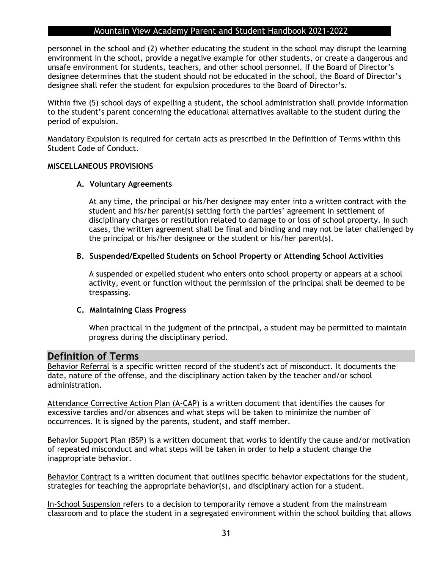personnel in the school and (2) whether educating the student in the school may disrupt the learning environment in the school, provide a negative example for other students, or create a dangerous and unsafe environment for students, teachers, and other school personnel. If the Board of Director's designee determines that the student should not be educated in the school, the Board of Director's designee shall refer the student for expulsion procedures to the Board of Director's.

Within five (5) school days of expelling a student, the school administration shall provide information to the student's parent concerning the educational alternatives available to the student during the period of expulsion.

Mandatory Expulsion is required for certain acts as prescribed in the Definition of Terms within this Student Code of Conduct.

### **MISCELLANEOUS PROVISIONS**

### **A. Voluntary Agreements**

At any time, the principal or his/her designee may enter into a written contract with the student and his/her parent(s) setting forth the parties' agreement in settlement of disciplinary charges or restitution related to damage to or loss of school property. In such cases, the written agreement shall be final and binding and may not be later challenged by the principal or his/her designee or the student or his/her parent(s).

### **B. Suspended/Expelled Students on School Property or Attending School Activities**

A suspended or expelled student who enters onto school property or appears at a school activity, event or function without the permission of the principal shall be deemed to be trespassing.

### **C. Maintaining Class Progress**

When practical in the judgment of the principal, a student may be permitted to maintain progress during the disciplinary period.

### **Definition of Terms**

Behavior Referral is a specific written record of the student's act of misconduct. It documents the date, nature of the offense, and the disciplinary action taken by the teacher and/or school administration.

Attendance Corrective Action Plan (A-CAP) is a written document that identifies the causes for excessive tardies and/or absences and what steps will be taken to minimize the number of occurrences. It is signed by the parents, student, and staff member.

Behavior Support Plan (BSP) is a written document that works to identify the cause and/or motivation of repeated misconduct and what steps will be taken in order to help a student change the inappropriate behavior.

Behavior Contract is a written document that outlines specific behavior expectations for the student, strategies for teaching the appropriate behavior(s), and disciplinary action for a student.

In-School Suspension refers to a decision to temporarily remove a student from the mainstream classroom and to place the student in a segregated environment within the school building that allows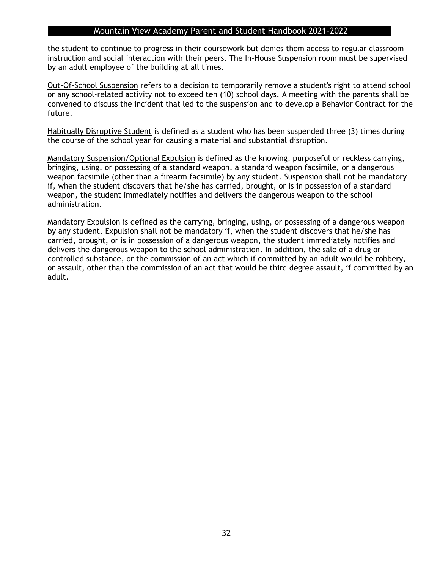the student to continue to progress in their coursework but denies them access to regular classroom instruction and social interaction with their peers. The In-House Suspension room must be supervised by an adult employee of the building at all times.

Out-Of-School Suspension refers to a decision to temporarily remove a student's right to attend school or any school-related activity not to exceed ten (10) school days. A meeting with the parents shall be convened to discuss the incident that led to the suspension and to develop a Behavior Contract for the future.

Habitually Disruptive Student is defined as a student who has been suspended three (3) times during the course of the school year for causing a material and substantial disruption.

Mandatory Suspension/Optional Expulsion is defined as the knowing, purposeful or reckless carrying, bringing, using, or possessing of a standard weapon, a standard weapon facsimile, or a dangerous weapon facsimile (other than a firearm facsimile) by any student. Suspension shall not be mandatory if, when the student discovers that he/she has carried, brought, or is in possession of a standard weapon, the student immediately notifies and delivers the dangerous weapon to the school administration.

Mandatory Expulsion is defined as the carrying, bringing, using, or possessing of a dangerous weapon by any student. Expulsion shall not be mandatory if, when the student discovers that he/she has carried, brought, or is in possession of a dangerous weapon, the student immediately notifies and delivers the dangerous weapon to the school administration. In addition, the sale of a drug or controlled substance, or the commission of an act which if committed by an adult would be robbery, or assault, other than the commission of an act that would be third degree assault, if committed by an adult.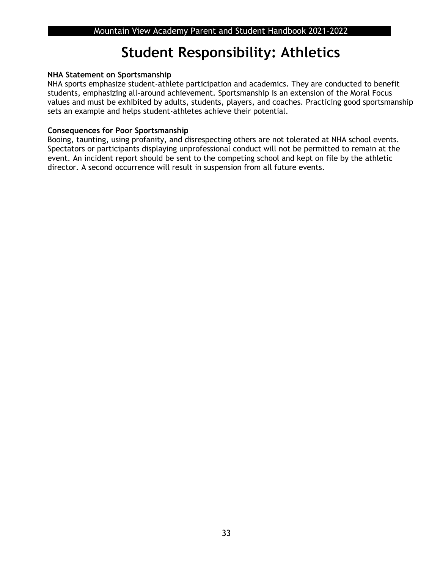## **Student Responsibility: Athletics**

### **NHA Statement on Sportsmanship**

NHA sports emphasize student-athlete participation and academics. They are conducted to benefit students, emphasizing all-around achievement. Sportsmanship is an extension of the Moral Focus values and must be exhibited by adults, students, players, and coaches. Practicing good sportsmanship sets an example and helps student-athletes achieve their potential.

### **Consequences for Poor Sportsmanship**

Booing, taunting, using profanity, and disrespecting others are not tolerated at NHA school events. Spectators or participants displaying unprofessional conduct will not be permitted to remain at the event. An incident report should be sent to the competing school and kept on file by the athletic director. A second occurrence will result in suspension from all future events.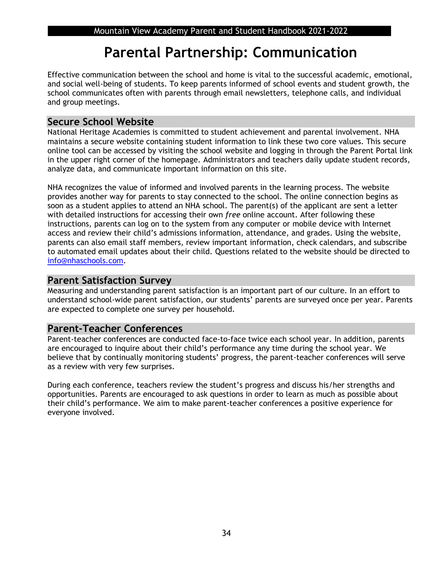## **Parental Partnership: Communication**

Effective communication between the school and home is vital to the successful academic, emotional, and social well-being of students. To keep parents informed of school events and student growth, the school communicates often with parents through email newsletters, telephone calls, and individual and group meetings.

## **Secure School Website**

National Heritage Academies is committed to student achievement and parental involvement. NHA maintains a secure website containing student information to link these two core values. This secure online tool can be accessed by visiting the school website and logging in through the Parent Portal link in the upper right corner of the homepage. Administrators and teachers daily update student records, analyze data, and communicate important information on this site.

NHA recognizes the value of informed and involved parents in the learning process. The website provides another way for parents to stay connected to the school. The online connection begins as soon as a student applies to attend an NHA school. The parent(s) of the applicant are sent a letter with detailed instructions for accessing their own *free* online account. After following these instructions, parents can log on to the system from any computer or mobile device with Internet access and review their child's admissions information, attendance, and grades. Using the website, parents can also email staff members, review important information, check calendars, and subscribe to automated email updates about their child. Questions related to the website should be directed to [info@nhaschools.com.](mailto:info@nhaschools.com)

### **Parent Satisfaction Survey**

Measuring and understanding parent satisfaction is an important part of our culture. In an effort to understand school-wide parent satisfaction, our students' parents are surveyed once per year. Parents are expected to complete one survey per household.

## **Parent-Teacher Conferences**

Parent-teacher conferences are conducted face-to-face twice each school year. In addition, parents are encouraged to inquire about their child's performance any time during the school year. We believe that by continually monitoring students' progress, the parent-teacher conferences will serve as a review with very few surprises.

During each conference, teachers review the student's progress and discuss his/her strengths and opportunities. Parents are encouraged to ask questions in order to learn as much as possible about their child's performance. We aim to make parent-teacher conferences a positive experience for everyone involved.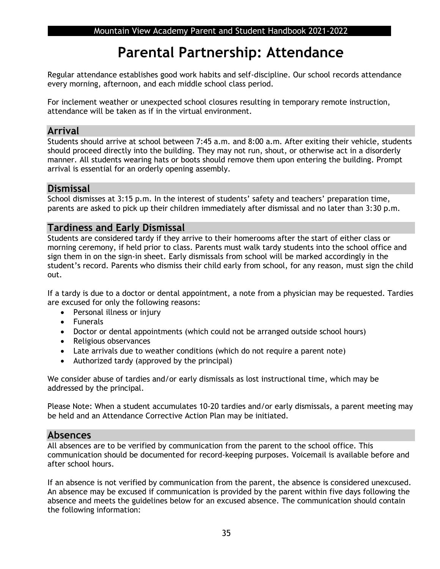## **Parental Partnership: Attendance**

Regular attendance establishes good work habits and self-discipline. Our school records attendance every morning, afternoon, and each middle school class period.

For inclement weather or unexpected school closures resulting in temporary remote instruction, attendance will be taken as if in the virtual environment.

### **Arrival**

Students should arrive at school between 7:45 a.m. and 8:00 a.m. After exiting their vehicle, students should proceed directly into the building. They may not run, shout, or otherwise act in a disorderly manner. All students wearing hats or boots should remove them upon entering the building. Prompt arrival is essential for an orderly opening assembly.

### **Dismissal**

School dismisses at 3:15 p.m. In the interest of students' safety and teachers' preparation time, parents are asked to pick up their children immediately after dismissal and no later than 3:30 p.m.

### **Tardiness and Early Dismissal**

Students are considered tardy if they arrive to their homerooms after the start of either class or morning ceremony, if held prior to class. Parents must walk tardy students into the school office and sign them in on the sign-in sheet. Early dismissals from school will be marked accordingly in the student's record. Parents who dismiss their child early from school, for any reason, must sign the child out.

If a tardy is due to a doctor or dental appointment, a note from a physician may be requested. Tardies are excused for only the following reasons:

- Personal illness or injury
- Funerals
- Doctor or dental appointments (which could not be arranged outside school hours)
- Religious observances
- Late arrivals due to weather conditions (which do not require a parent note)
- Authorized tardy (approved by the principal)

We consider abuse of tardies and/or early dismissals as lost instructional time, which may be addressed by the principal.

Please Note: When a student accumulates 10-20 tardies and/or early dismissals, a parent meeting may be held and an Attendance Corrective Action Plan may be initiated.

### **Absences**

All absences are to be verified by communication from the parent to the school office. This communication should be documented for record-keeping purposes. Voicemail is available before and after school hours.

If an absence is not verified by communication from the parent, the absence is considered unexcused. An absence may be excused if communication is provided by the parent within five days following the absence and meets the guidelines below for an excused absence. The communication should contain the following information: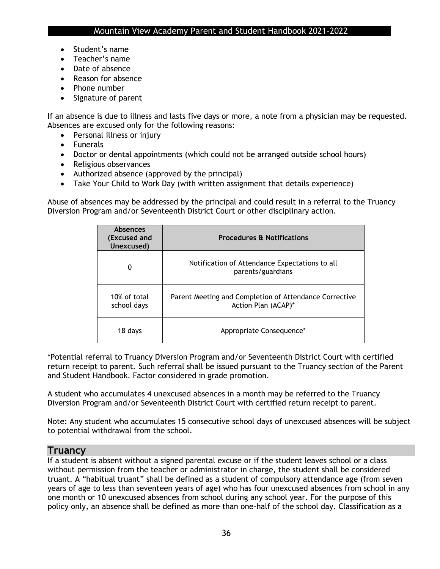- Student's name
- Teacher's name
- Date of absence
- Reason for absence
- Phone number
- Signature of parent

If an absence is due to illness and lasts five days or more, a note from a physician may be requested. Absences are excused only for the following reasons:

- Personal illness or injury
- Funerals
- Doctor or dental appointments (which could not be arranged outside school hours)
- Religious observances
- Authorized absence (approved by the principal)
- Take Your Child to Work Day (with written assignment that details experience)

Abuse of absences may be addressed by the principal and could result in a referral to the Truancy Diversion Program and/or Seventeenth District Court or other disciplinary action.

| <b>Absences</b><br>(Excused and<br>Unexcused) | <b>Procedures &amp; Notifications</b>                                         |
|-----------------------------------------------|-------------------------------------------------------------------------------|
| 0                                             | Notification of Attendance Expectations to all<br>parents/guardians           |
| 10% of total<br>school days                   | Parent Meeting and Completion of Attendance Corrective<br>Action Plan (ACAP)* |
| 18 days                                       | Appropriate Consequence*                                                      |

\*Potential referral to Truancy Diversion Program and/or Seventeenth District Court with certified return receipt to parent. Such referral shall be issued pursuant to the Truancy section of the Parent and Student Handbook. Factor considered in grade promotion.

A student who accumulates 4 unexcused absences in a month may be referred to the Truancy Diversion Program and/or Seventeenth District Court with certified return receipt to parent.

Note: Any student who accumulates 15 consecutive school days of unexcused absences will be subject to potential withdrawal from the school.

### **Truancy**

If a student is absent without a signed parental excuse or if the student leaves school or a class without permission from the teacher or administrator in charge, the student shall be considered truant. A "habitual truant" shall be defined as a student of compulsory attendance age (from seven years of age to less than seventeen years of age) who has four unexcused absences from school in any one month or 10 unexcused absences from school during any school year. For the purpose of this policy only, an absence shall be defined as more than one-half of the school day. Classification as a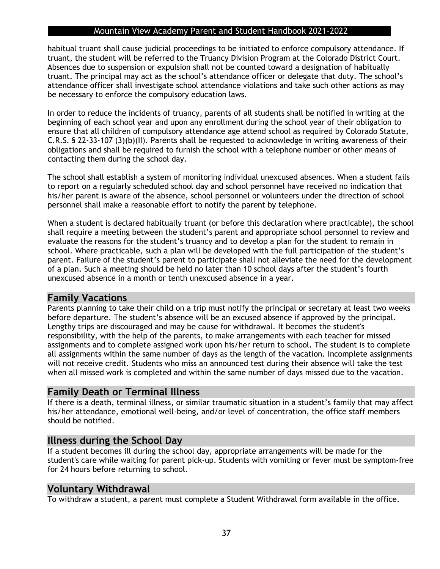habitual truant shall cause judicial proceedings to be initiated to enforce compulsory attendance. If truant, the student will be referred to the Truancy Division Program at the Colorado District Court. Absences due to suspension or expulsion shall not be counted toward a designation of habitually truant. The principal may act as the school's attendance officer or delegate that duty. The school's attendance officer shall investigate school attendance violations and take such other actions as may be necessary to enforce the compulsory education laws.

In order to reduce the incidents of truancy, parents of all students shall be notified in writing at the beginning of each school year and upon any enrollment during the school year of their obligation to ensure that all children of compulsory attendance age attend school as required by Colorado Statute, C.R.S. § 22-33-107 (3)(b)(II). Parents shall be requested to acknowledge in writing awareness of their obligations and shall be required to furnish the school with a telephone number or other means of contacting them during the school day.

The school shall establish a system of monitoring individual unexcused absences. When a student fails to report on a regularly scheduled school day and school personnel have received no indication that his/her parent is aware of the absence, school personnel or volunteers under the direction of school personnel shall make a reasonable effort to notify the parent by telephone.

When a student is declared habitually truant (or before this declaration where practicable), the school shall require a meeting between the student's parent and appropriate school personnel to review and evaluate the reasons for the student's truancy and to develop a plan for the student to remain in school. Where practicable, such a plan will be developed with the full participation of the student's parent. Failure of the student's parent to participate shall not alleviate the need for the development of a plan. Such a meeting should be held no later than 10 school days after the student's fourth unexcused absence in a month or tenth unexcused absence in a year.

### **Family Vacations**

Parents planning to take their child on a trip must notify the principal or secretary at least two weeks before departure. The student's absence will be an excused absence if approved by the principal. Lengthy trips are discouraged and may be cause for withdrawal. It becomes the student's responsibility, with the help of the parents, to make arrangements with each teacher for missed assignments and to complete assigned work upon his/her return to school. The student is to complete all assignments within the same number of days as the length of the vacation. Incomplete assignments will not receive credit. Students who miss an announced test during their absence will take the test when all missed work is completed and within the same number of days missed due to the vacation.

## **Family Death or Terminal Illness**

If there is a death, terminal illness, or similar traumatic situation in a student's family that may affect his/her attendance, emotional well-being, and/or level of concentration, the office staff members should be notified.

## **Illness during the School Day**

If a student becomes ill during the school day, appropriate arrangements will be made for the student's care while waiting for parent pick-up. Students with vomiting or fever must be symptom-free for 24 hours before returning to school.

### **Voluntary Withdrawal**

To withdraw a student, a parent must complete a Student Withdrawal form available in the office.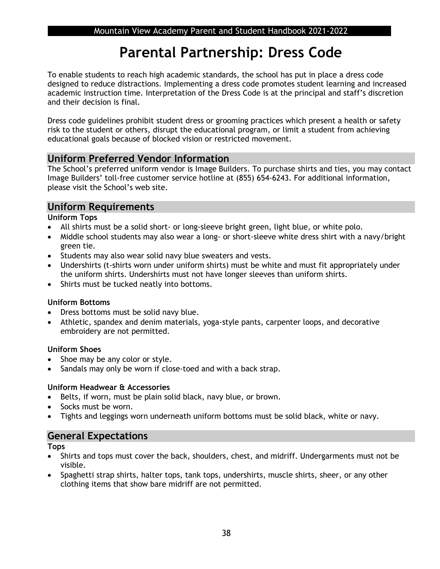## **Parental Partnership: Dress Code**

To enable students to reach high academic standards, the school has put in place a dress code designed to reduce distractions. Implementing a dress code promotes student learning and increased academic instruction time. Interpretation of the Dress Code is at the principal and staff's discretion and their decision is final.

Dress code guidelines prohibit student dress or grooming practices which present a health or safety risk to the student or others, disrupt the educational program, or limit a student from achieving educational goals because of blocked vision or restricted movement.

## **Uniform Preferred Vendor Information**

The School's preferred uniform vendor is Image Builders. To purchase shirts and ties, you may contact Image Builders' toll-free customer service hotline at (855) 654-6243. For additional information, please visit the School's web site.

## **Uniform Requirements**

**Uniform Tops**

- All shirts must be a solid short- or long-sleeve bright green, light blue, or white polo.
- Middle school students may also wear a long- or short-sleeve white dress shirt with a navy/bright green tie.
- Students may also wear solid navy blue sweaters and vests.
- Undershirts (t-shirts worn under uniform shirts) must be white and must fit appropriately under the uniform shirts. Undershirts must not have longer sleeves than uniform shirts.
- Shirts must be tucked neatly into bottoms.

### **Uniform Bottoms**

- Dress bottoms must be solid navy blue.
- Athletic, spandex and denim materials, yoga-style pants, carpenter loops, and decorative embroidery are not permitted.

### **Uniform Shoes**

- Shoe may be any color or style.
- Sandals may only be worn if close-toed and with a back strap.

### **Uniform Headwear & Accessories**

- Belts, if worn, must be plain solid black, navy blue, or brown.
- Socks must be worn.
- Tights and leggings worn underneath uniform bottoms must be solid black, white or navy.

## **General Expectations**

**Tops**

- Shirts and tops must cover the back, shoulders, chest, and midriff. Undergarments must not be visible.
- Spaghetti strap shirts, halter tops, tank tops, undershirts, muscle shirts, sheer, or any other clothing items that show bare midriff are not permitted.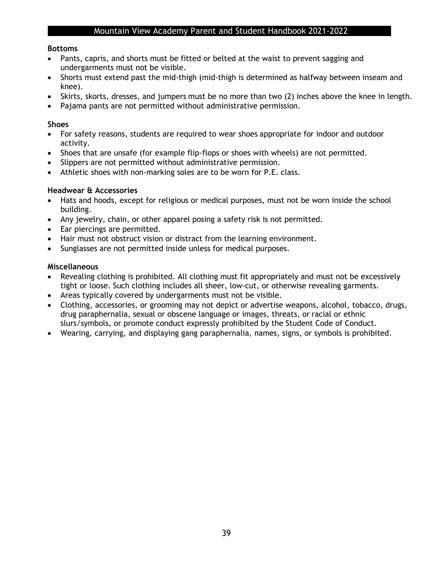### **Bottoms**

- Pants, capris, and shorts must be fitted or belted at the waist to prevent sagging and undergarments must not be visible.
- Shorts must extend past the mid-thigh (mid-thigh is determined as halfway between inseam and knee).
- Skirts, skorts, dresses, and jumpers must be no more than two (2) inches above the knee in length.
- Pajama pants are not permitted without administrative permission.

### **Shoes**

- For safety reasons, students are required to wear shoes appropriate for indoor and outdoor activity.
- Shoes that are unsafe (for example flip-flops or shoes with wheels) are not permitted.
- Slippers are not permitted without administrative permission.
- Athletic shoes with non-marking soles are to be worn for P.E. class.

### **Headwear & Accessories**

- Hats and hoods, except for religious or medical purposes, must not be worn inside the school building.
- Any jewelry, chain, or other apparel posing a safety risk is not permitted.
- Ear piercings are permitted.
- Hair must not obstruct vision or distract from the learning environment.
- Sunglasses are not permitted inside unless for medical purposes.

### **Miscellaneous**

- Revealing clothing is prohibited. All clothing must fit appropriately and must not be excessively tight or loose. Such clothing includes all sheer, low-cut, or otherwise revealing garments.
- Areas typically covered by undergarments must not be visible.
- Clothing, accessories, or grooming may not depict or advertise weapons, alcohol, tobacco, drugs, drug paraphernalia, sexual or obscene language or images, threats, or racial or ethnic slurs/symbols, or promote conduct expressly prohibited by the Student Code of Conduct.
- Wearing, carrying, and displaying gang paraphernalia, names, signs, or symbols is prohibited.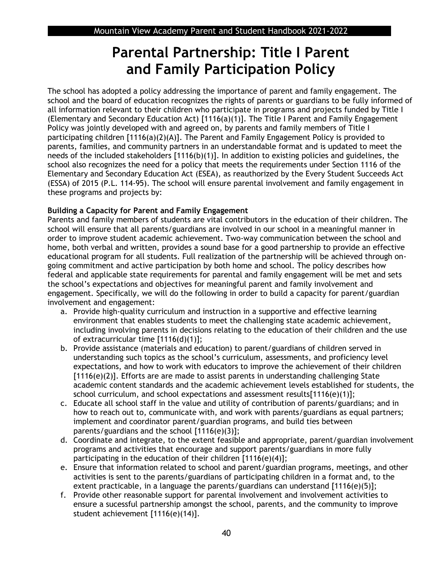## **Parental Partnership: Title I Parent and Family Participation Policy**

The school has adopted a policy addressing the importance of parent and family engagement. The school and the board of education recognizes the rights of parents or guardians to be fully informed of all information relevant to their children who participate in programs and projects funded by Title I (Elementary and Secondary Education Act) [1116(a)(1)]. The Title I Parent and Family Engagement Policy was jointly developed with and agreed on, by parents and family members of Title I participating children [1116(a)(2)(A)]. The Parent and Family Engagement Policy is provided to parents, families, and community partners in an understandable format and is updated to meet the needs of the included stakeholders [1116(b)(1)]. In addition to existing policies and guidelines, the school also recognizes the need for a policy that meets the requirements under Section 1116 of the Elementary and Secondary Education Act (ESEA), as reauthorized by the Every Student Succeeds Act (ESSA) of 2015 (P.L. 114-95). The school will ensure parental involvement and family engagement in these programs and projects by:

### **Building a Capacity for Parent and Family Engagement**

Parents and family members of students are vital contributors in the education of their children. The school will ensure that all parents/guardians are involved in our school in a meaningful manner in order to improve student academic achievement. Two-way communication between the school and home, both verbal and written, provides a sound base for a good partnership to provide an effective educational program for all students. Full realization of the partnership will be achieved through ongoing commitment and active participation by both home and school. The policy describes how federal and applicable state requirements for parental and family engagement will be met and sets the school's expectations and objectives for meaningful parent and family involvement and engagement. Specifically, we will do the following in order to build a capacity for parent/guardian involvement and engagement:

- a. Provide high-quality curriculum and instruction in a supportive and effective learning environment that enables students to meet the challenging state academic achievement, including involving parents in decisions relating to the education of their children and the use of extracurricular time [1116(d)(1)];
- b. Provide assistance (materials and education) to parent/guardians of children served in understanding such topics as the school's curriculum, assessments, and proficiency level expectations, and how to work with educators to improve the achievement of their children [1116(e)(2)]. Efforts are are made to assist parents in understanding challenging State academic content standards and the academic achievement levels established for students, the school curriculum, and school expectations and assessment results $[1116(e)(1)]$ ;
- c. Educate all school staff in the value and utility of contribution of parents/guardians; and in how to reach out to, communicate with, and work with parents/guardians as equal partners; implement and coordinator parent/guardian programs, and build ties between parents/guardians and the school [1116(e)(3)];
- d. Coordinate and integrate, to the extent feasible and appropriate, parent/guardian involvement programs and activities that encourage and support parents/guardians in more fully participating in the education of their children [1116(e)(4)];
- e. Ensure that information related to school and parent/guardian programs, meetings, and other activities is sent to the parents/guardians of participating children in a format and, to the extent practicable, in a language the parents/guardians can understand [1116(e)(5)];
- f. Provide other reasonable support for parental involvement and involvement activities to ensure a sucessful partnership amongst the school, parents, and the community to improve student achievement [1116(e)(14)].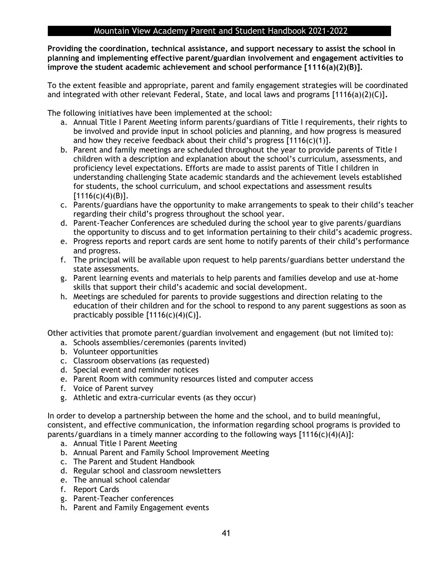**Providing the coordination, technical assistance, and support necessary to assist the school in planning and implementing effective parent/guardian involvement and engagement activities to improve the student academic achievement and school performance [1116(a)(2)(B)].** 

To the extent feasible and appropriate, parent and family engagement strategies will be coordinated and integrated with other relevant Federal, State, and local laws and programs [1116(a)(2)(C)]**.** 

The following initiatives have been implemented at the school:

- a. Annual Title I Parent Meeting inform parents/guardians of Title I requirements, their rights to be involved and provide input in school policies and planning, and how progress is measured and how they receive feedback about their child's progress  $[1116(c)(1)].$
- b. Parent and family meetings are scheduled throughout the year to provide parents of Title I children with a description and explanation about the school's curriculum, assessments, and proficiency level expectations. Efforts are made to assist parents of Title I children in understanding challenging State academic standards and the achievement levels established for students, the school curriculum, and school expectations and assessment results  $[1116(c)(4)(B)].$
- c. Parents/guardians have the opportunity to make arrangements to speak to their child's teacher regarding their child's progress throughout the school year.
- d. Parent-Teacher Conferences are scheduled during the school year to give parents/guardians the opportunity to discuss and to get information pertaining to their child's academic progress.
- e. Progress reports and report cards are sent home to notify parents of their child's performance and progress.
- f. The principal will be available upon request to help parents/guardians better understand the state assessments.
- g. Parent learning events and materials to help parents and families develop and use at-home skills that support their child's academic and social development.
- h. Meetings are scheduled for parents to provide suggestions and direction relating to the education of their children and for the school to respond to any parent suggestions as soon as practicably possible  $[1116(c)(4)(C)].$

Other activities that promote parent/guardian involvement and engagement (but not limited to):

- a. Schools assemblies/ceremonies (parents invited)
- b. Volunteer opportunities
- c. Classroom observations (as requested)
- d. Special event and reminder notices
- e. Parent Room with community resources listed and computer access
- f. Voice of Parent survey
- g. Athletic and extra-curricular events (as they occur)

In order to develop a partnership between the home and the school, and to build meaningful, consistent, and effective communication, the information regarding school programs is provided to parents/guardians in a timely manner according to the following ways  $[1116(c)(4)(A)]$ :

- a. Annual Title I Parent Meeting
- b. Annual Parent and Family School Improvement Meeting
- c. The Parent and Student Handbook
- d. Regular school and classroom newsletters
- e. The annual school calendar
- f. Report Cards
- g. Parent-Teacher conferences
- h. Parent and Family Engagement events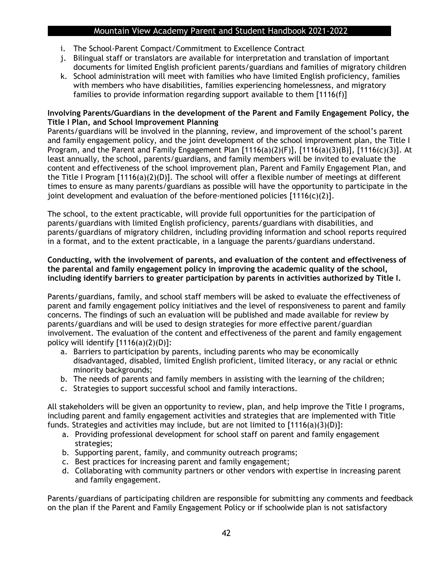- i. The School-Parent Compact/Commitment to Excellence Contract
- j. Bilingual staff or translators are available for interpretation and translation of important documents for limited English proficient parents/guardians and families of migratory children
- k. School administration will meet with families who have limited English proficiency, families with members who have disabilities, families experiencing homelessness, and migratory families to provide information regarding support available to them [1116(f)]

### **Involving Parents/Guardians in the development of the Parent and Family Engagement Policy, the Title I Plan, and School Improvement Planning**

Parents/guardians will be involved in the planning, review, and improvement of the school's parent and family engagement policy, and the joint development of the school improvement plan, the Title I Program, and the Parent and Family Engagement Plan [1116(a)(2)(F)], [1116(a)(3)(B)], [1116(c)(3)]. At least annually, the school, parents/guardians, and family members will be invited to evaluate the content and effectiveness of the school improvement plan, Parent and Family Engagement Plan, and the Title I Program [1116(a)(2)(D)]. The school will offer a flexible number of meetings at different times to ensure as many parents/guardians as possible will have the opportunity to participate in the joint development and evaluation of the before-mentioned policies  $[1116(c)(2)].$ 

The school, to the extent practicable, will provide full opportunities for the participation of parents/guardians with limited English proficiency, parents/guardians with disabilities, and parents/guardians of migratory children, including providing information and school reports required in a format, and to the extent practicable, in a language the parents/guardians understand.

### **Conducting, with the involvement of parents, and evaluation of the content and effectiveness of the parental and family engagement policy in improving the academic quality of the school, including identify barriers to greater participation by parents in activities authorized by Title I.**

Parents/guardians, family, and school staff members will be asked to evaluate the effectiveness of parent and family engagement policy initiatives and the level of responsiveness to parent and family concerns. The findings of such an evaluation will be published and made available for review by parents/guardians and will be used to design strategies for more effective parent/guardian involvement. The evaluation of the content and effectiveness of the parent and family engagement policy will identify  $[1116(a)(2)(D)]$ :

- a. Barriers to participation by parents, including parents who may be economically disadvantaged, disabled, limited English proficient, limited literacy, or any racial or ethnic minority backgrounds;
- b. The needs of parents and family members in assisting with the learning of the children;
- c. Strategies to support successful school and family interactions.

All stakeholders will be given an opportunity to review, plan, and help improve the Title I programs, including parent and family engagement activities and strategies that are implemented with Title funds. Strategies and activities may include, but are not limited to [1116(a)(3)(D)]:

- a. Providing professional development for school staff on parent and family engagement strategies;
- b. Supporting parent, family, and community outreach programs;
- c. Best practices for increasing parent and family engagement;
- d. Collaborating with community partners or other vendors with expertise in increasing parent and family engagement.

Parents/guardians of participating children are responsible for submitting any comments and feedback on the plan if the Parent and Family Engagement Policy or if schoolwide plan is not satisfactory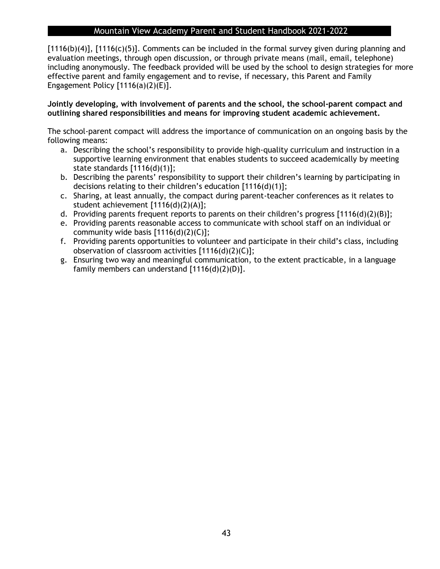[1116(b)(4)], [1116(c)(5)]. Comments can be included in the formal survey given during planning and evaluation meetings, through open discussion, or through private means (mail, email, telephone) including anonymously. The feedback provided will be used by the school to design strategies for more effective parent and family engagement and to revise, if necessary, this Parent and Family Engagement Policy  $[1116(a)(2)(E)].$ 

### **Jointly developing, with involvement of parents and the school, the school-parent compact and outlining shared responsibilities and means for improving student academic achievement.**

The school-parent compact will address the importance of communication on an ongoing basis by the following means:

- a. Describing the school's responsibility to provide high-quality curriculum and instruction in a supportive learning environment that enables students to succeed academically by meeting state standards [1116(d)(1)];
- b. Describing the parents' responsibility to support their children's learning by participating in decisions relating to their children's education [1116(d)(1)];
- c. Sharing, at least annually, the compact during parent-teacher conferences as it relates to student achievement [1116(d)(2)(A)];
- d. Providing parents frequent reports to parents on their children's progress [1116(d)(2)(B)];
- e. Providing parents reasonable access to communicate with school staff on an individual or community wide basis [1116(d)(2)(C)];
- f. Providing parents opportunities to volunteer and participate in their child's class, including observation of classroom activities [1116(d)(2)(C)];
- g. Ensuring two way and meaningful communication, to the extent practicable, in a language family members can understand [1116(d)(2)(D)].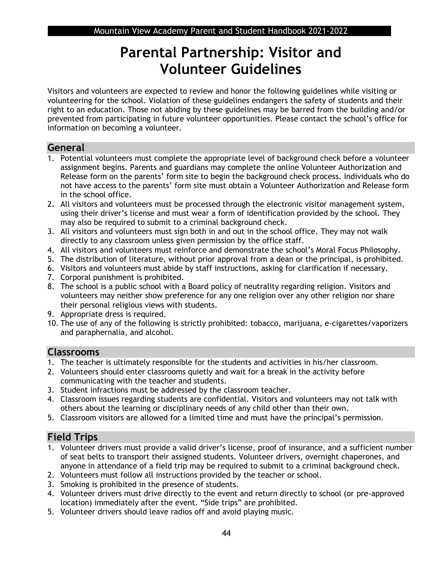## **Parental Partnership: Visitor and Volunteer Guidelines**

Visitors and volunteers are expected to review and honor the following guidelines while visiting or volunteering for the school. Violation of these guidelines endangers the safety of students and their right to an education. Those not abiding by these guidelines may be barred from the building and/or prevented from participating in future volunteer opportunities. Please contact the school's office for information on becoming a volunteer.

## **General**

- 1. Potential volunteers must complete the appropriate level of background check before a volunteer assignment begins. Parents and guardians may complete the online Volunteer Authorization and Release form on the parents' form site to begin the background check process. Individuals who do not have access to the parents' form site must obtain a Volunteer Authorization and Release form in the school office.
- 2. All visitors and volunteers must be processed through the electronic visitor management system, using their driver's license and must wear a form of identification provided by the school. They may also be required to submit to a criminal background check.
- 3. All visitors and volunteers must sign both in and out in the school office. They may not walk directly to any classroom unless given permission by the office staff.
- 4. All visitors and volunteers must reinforce and demonstrate the school's Moral Focus Philosophy.
- 5. The distribution of literature, without prior approval from a dean or the principal, is prohibited.
- 6. Visitors and volunteers must abide by staff instructions, asking for clarification if necessary.
- 7. Corporal punishment is prohibited.
- 8. The school is a public school with a Board policy of neutrality regarding religion. Visitors and volunteers may neither show preference for any one religion over any other religion nor share their personal religious views with students.
- 9. Appropriate dress is required.
- 10. The use of any of the following is strictly prohibited: tobacco, marijuana, e-cigarettes/vaporizers and paraphernalia, and alcohol.

## **Classrooms**

- 1. The teacher is ultimately responsible for the students and activities in his/her classroom.
- 2. Volunteers should enter classrooms quietly and wait for a break in the activity before communicating with the teacher and students.
- 3. Student infractions must be addressed by the classroom teacher.
- 4. Classroom issues regarding students are confidential. Visitors and volunteers may not talk with others about the learning or disciplinary needs of any child other than their own.
- 5. Classroom visitors are allowed for a limited time and must have the principal's permission.

## **Field Trips**

- 1. Volunteer drivers must provide a valid driver's license, proof of insurance, and a sufficient number of seat belts to transport their assigned students. Volunteer drivers, overnight chaperones, and anyone in attendance of a field trip may be required to submit to a criminal background check.
- 2. Volunteers must follow all instructions provided by the teacher or school.
- 3. Smoking is prohibited in the presence of students.
- 4. Volunteer drivers must drive directly to the event and return directly to school (or pre-approved location) immediately after the event. "Side trips" are prohibited.
- 5. Volunteer drivers should leave radios off and avoid playing music.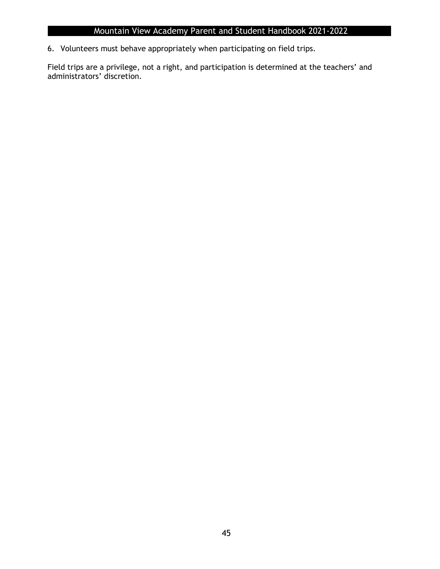6. Volunteers must behave appropriately when participating on field trips.

Field trips are a privilege, not a right, and participation is determined at the teachers' and administrators' discretion.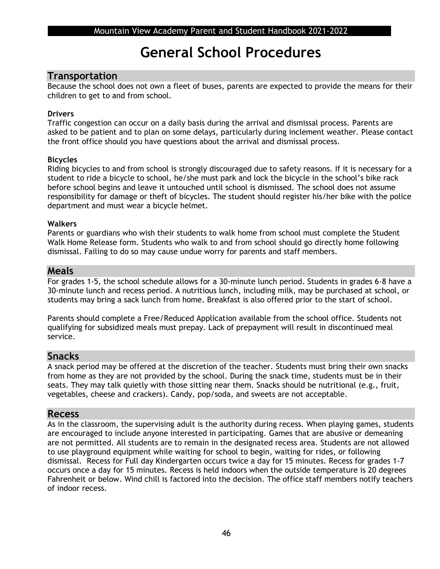## **General School Procedures**

### **Transportation**

Because the school does not own a fleet of buses, parents are expected to provide the means for their children to get to and from school.

### **Drivers**

Traffic congestion can occur on a daily basis during the arrival and dismissal process. Parents are asked to be patient and to plan on some delays, particularly during inclement weather. Please contact the front office should you have questions about the arrival and dismissal process.

### **Bicycles**

Riding bicycles to and from school is strongly discouraged due to safety reasons. If it is necessary for a student to ride a bicycle to school, he/she must park and lock the bicycle in the school's bike rack before school begins and leave it untouched until school is dismissed. The school does not assume responsibility for damage or theft of bicycles. The student should register his/her bike with the police department and must wear a bicycle helmet.

### **Walkers**

Parents or guardians who wish their students to walk home from school must complete the Student Walk Home Release form. Students who walk to and from school should go directly home following dismissal. Failing to do so may cause undue worry for parents and staff members.

### **Meals**

For grades 1-5, the school schedule allows for a 30-minute lunch period. Students in grades 6-8 have a 30-minute lunch and recess period. A nutritious lunch, including milk, may be purchased at school, or students may bring a sack lunch from home. Breakfast is also offered prior to the start of school.

Parents should complete a Free/Reduced Application available from the school office. Students not qualifying for subsidized meals must prepay. Lack of prepayment will result in discontinued meal service.

### **Snacks**

A snack period may be offered at the discretion of the teacher. Students must bring their own snacks from home as they are not provided by the school. During the snack time, students must be in their seats. They may talk quietly with those sitting near them. Snacks should be nutritional (e.g., fruit, vegetables, cheese and crackers). Candy, pop/soda, and sweets are not acceptable.

### **Recess**

As in the classroom, the supervising adult is the authority during recess. When playing games, students are encouraged to include anyone interested in participating. Games that are abusive or demeaning are not permitted. All students are to remain in the designated recess area. Students are not allowed to use playground equipment while waiting for school to begin, waiting for rides, or following dismissal. Recess for Full day Kindergarten occurs twice a day for 15 minutes. Recess for grades 1-7 occurs once a day for 15 minutes. Recess is held indoors when the outside temperature is 20 degrees Fahrenheit or below. Wind chill is factored into the decision. The office staff members notify teachers of indoor recess.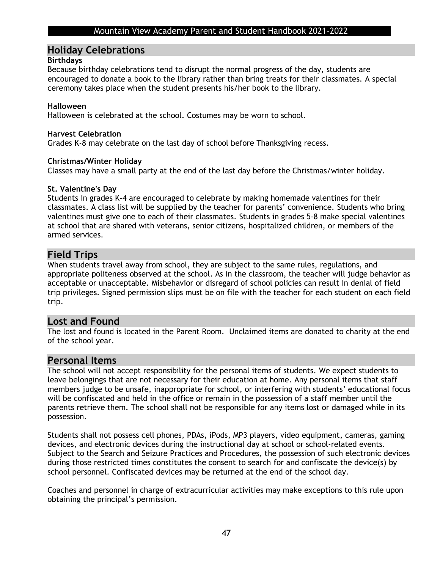### **Holiday Celebrations**

### **Birthdays**

Because birthday celebrations tend to disrupt the normal progress of the day, students are encouraged to donate a book to the library rather than bring treats for their classmates. A special ceremony takes place when the student presents his/her book to the library.

### **Halloween**

Halloween is celebrated at the school. Costumes may be worn to school.

### **Harvest Celebration**

Grades K-8 may celebrate on the last day of school before Thanksgiving recess.

### **Christmas/Winter Holiday**

Classes may have a small party at the end of the last day before the Christmas/winter holiday.

### **St. Valentine's Day**

Students in grades K-4 are encouraged to celebrate by making homemade valentines for their classmates. A class list will be supplied by the teacher for parents' convenience. Students who bring valentines must give one to each of their classmates. Students in grades 5-8 make special valentines at school that are shared with veterans, senior citizens, hospitalized children, or members of the armed services.

## **Field Trips**

When students travel away from school, they are subject to the same rules, regulations, and appropriate politeness observed at the school. As in the classroom, the teacher will judge behavior as acceptable or unacceptable. Misbehavior or disregard of school policies can result in denial of field trip privileges. Signed permission slips must be on file with the teacher for each student on each field trip.

### **Lost and Found**

The lost and found is located in the Parent Room. Unclaimed items are donated to charity at the end of the school year.

### **Personal Items**

The school will not accept responsibility for the personal items of students. We expect students to leave belongings that are not necessary for their education at home. Any personal items that staff members judge to be unsafe, inappropriate for school, or interfering with students' educational focus will be confiscated and held in the office or remain in the possession of a staff member until the parents retrieve them. The school shall not be responsible for any items lost or damaged while in its possession.

Students shall not possess cell phones, PDAs, iPods, MP3 players, video equipment, cameras, gaming devices, and electronic devices during the instructional day at school or school-related events. Subject to the Search and Seizure Practices and Procedures, the possession of such electronic devices during those restricted times constitutes the consent to search for and confiscate the device(s) by school personnel. Confiscated devices may be returned at the end of the school day.

Coaches and personnel in charge of extracurricular activities may make exceptions to this rule upon obtaining the principal's permission.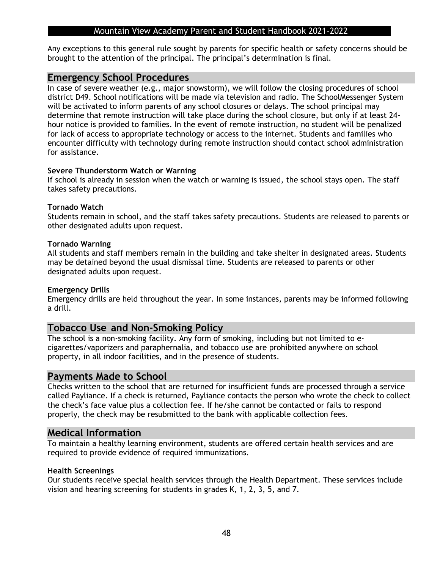Any exceptions to this general rule sought by parents for specific health or safety concerns should be brought to the attention of the principal. The principal's determination is final.

### **Emergency School Procedures**

In case of severe weather (e.g., major snowstorm), we will follow the closing procedures of school district D49. School notifications will be made via television and radio. The SchoolMessenger System will be activated to inform parents of any school closures or delays. The school principal may determine that remote instruction will take place during the school closure, but only if at least 24 hour notice is provided to families. In the event of remote instruction, no student will be penalized for lack of access to appropriate technology or access to the internet. Students and families who encounter difficulty with technology during remote instruction should contact school administration for assistance.

### **Severe Thunderstorm Watch or Warning**

If school is already in session when the watch or warning is issued, the school stays open. The staff takes safety precautions.

### **Tornado Watch**

Students remain in school, and the staff takes safety precautions. Students are released to parents or other designated adults upon request.

### **Tornado Warning**

All students and staff members remain in the building and take shelter in designated areas. Students may be detained beyond the usual dismissal time. Students are released to parents or other designated adults upon request.

#### **Emergency Drills**

Emergency drills are held throughout the year. In some instances, parents may be informed following a drill.

### **Tobacco Use and Non-Smoking Policy**

The school is a non-smoking facility. Any form of smoking, including but not limited to ecigarettes/vaporizers and paraphernalia, and tobacco use are prohibited anywhere on school property, in all indoor facilities, and in the presence of students.

### **Payments Made to School**

Checks written to the school that are returned for insufficient funds are processed through a service called Payliance. If a check is returned, Payliance contacts the person who wrote the check to collect the check's face value plus a collection fee. If he/she cannot be contacted or fails to respond properly, the check may be resubmitted to the bank with applicable collection fees.

### **Medical Information**

To maintain a healthy learning environment, students are offered certain health services and are required to provide evidence of required immunizations.

#### **Health Screenings**

Our students receive special health services through the Health Department. These services include vision and hearing screening for students in grades K, 1, 2, 3, 5, and 7.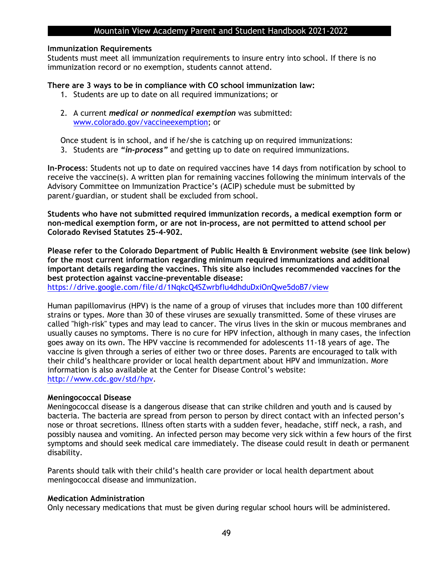#### **Immunization Requirements**

Students must meet all immunization requirements to insure entry into school. If there is no immunization record or no exemption, students cannot attend.

#### **There are 3 ways to be in compliance with CO school immunization law:**

- 1. Students are up to date on all required immunizations; or
- 2. A current *medical or nonmedical exemption* was submitted: [www.colorado.gov/vaccineexemption;](http://www.colorado.gov/vaccineexemption) or

Once student is in school, and if he/she is catching up on required immunizations: 3. Students are *"in-process"* and getting up to date on required immunizations.

**In-Process**: Students not up to date on required vaccines have 14 days from notification by school to receive the vaccine(s). A written plan for remaining vaccines following the minimum intervals of the Advisory Committee on Immunization Practice's (ACIP) schedule must be submitted by parent/guardian, or student shall be excluded from school.

**Students who have not submitted required immunization records, a medical exemption form or non-medical exemption form, or are not in-process, are not permitted to attend school per Colorado Revised Statutes 25-4-902.**

**Please refer to the Colorado Department of Public Health & Environment website (see link below) for the most current information regarding minimum required immunizations and additional important details regarding the vaccines. This site also includes recommended vaccines for the best protection against vaccine-preventable disease:**

<https://drive.google.com/file/d/1NqkcQ4SZwrbfIu4dhduDxiOnQwe5doB7/view>

Human papillomavirus (HPV) is the name of a group of viruses that includes more than 100 different strains or types. More than 30 of these viruses are sexually transmitted. Some of these viruses are called "high-risk" types and may lead to cancer. The virus lives in the skin or mucous membranes and usually causes no symptoms. There is no cure for HPV infection, although in many cases, the infection goes away on its own. The HPV vaccine is recommended for adolescents 11-18 years of age. The vaccine is given through a series of either two or three doses. Parents are encouraged to talk with their child's healthcare provider or local health department about HPV and immunization. More information is also available at the Center for Disease Control's website: [http://www.cdc.gov/std/hpv.](http://www.cdc.gov/std/hpv)

#### **Meningococcal Disease**

Meningococcal disease is a dangerous disease that can strike children and youth and is caused by bacteria. The bacteria are spread from person to person by direct contact with an infected person's nose or throat secretions. Illness often starts with a sudden fever, headache, stiff neck, a rash, and possibly nausea and vomiting. An infected person may become very sick within a few hours of the first symptoms and should seek medical care immediately. The disease could result in death or permanent disability.

Parents should talk with their child's health care provider or local health department about meningococcal disease and immunization.

#### **Medication Administration**

Only necessary medications that must be given during regular school hours will be administered.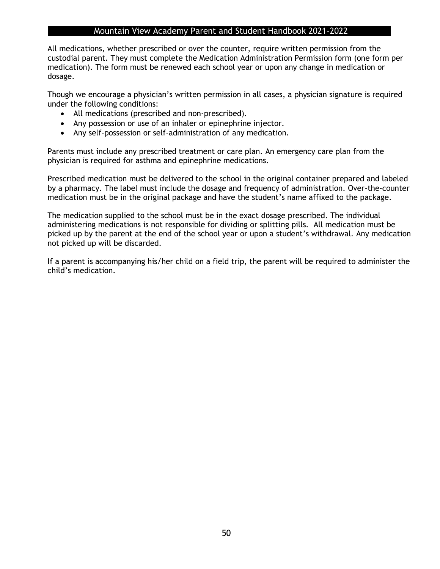All medications, whether prescribed or over the counter, require written permission from the custodial parent. They must complete the Medication Administration Permission form (one form per medication). The form must be renewed each school year or upon any change in medication or dosage.

Though we encourage a physician's written permission in all cases, a physician signature is required under the following conditions:

- All medications (prescribed and non-prescribed).
- Any possession or use of an inhaler or epinephrine injector.
- Any self-possession or self-administration of any medication.

Parents must include any prescribed treatment or care plan. An emergency care plan from the physician is required for asthma and epinephrine medications.

Prescribed medication must be delivered to the school in the original container prepared and labeled by a pharmacy. The label must include the dosage and frequency of administration. Over-the-counter medication must be in the original package and have the student's name affixed to the package.

The medication supplied to the school must be in the exact dosage prescribed. The individual administering medications is not responsible for dividing or splitting pills. All medication must be picked up by the parent at the end of the school year or upon a student's withdrawal. Any medication not picked up will be discarded.

If a parent is accompanying his/her child on a field trip, the parent will be required to administer the child's medication.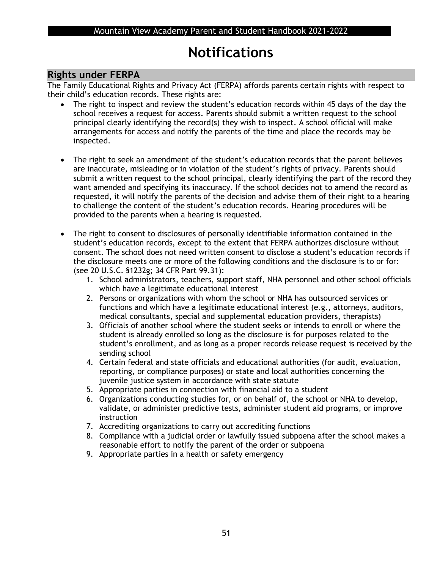## **Notifications**

### **Rights under FERPA**

The Family Educational Rights and Privacy Act (FERPA) affords parents certain rights with respect to their child's education records. These rights are:

- The right to inspect and review the student's education records within 45 days of the day the school receives a request for access. Parents should submit a written request to the school principal clearly identifying the record(s) they wish to inspect. A school official will make arrangements for access and notify the parents of the time and place the records may be inspected.
- The right to seek an amendment of the student's education records that the parent believes are inaccurate, misleading or in violation of the student's rights of privacy. Parents should submit a written request to the school principal, clearly identifying the part of the record they want amended and specifying its inaccuracy. If the school decides not to amend the record as requested, it will notify the parents of the decision and advise them of their right to a hearing to challenge the content of the student's education records. Hearing procedures will be provided to the parents when a hearing is requested.
- The right to consent to disclosures of personally identifiable information contained in the student's education records, except to the extent that FERPA authorizes disclosure without consent. The school does not need written consent to disclose a student's education records if the disclosure meets one or more of the following conditions and the disclosure is to or for: (see 20 U.S.C. §1232g; 34 CFR Part 99.31):
	- 1. School administrators, teachers, support staff, NHA personnel and other school officials which have a legitimate educational interest
	- 2. Persons or organizations with whom the school or NHA has outsourced services or functions and which have a legitimate educational interest (e.g., attorneys, auditors, medical consultants, special and supplemental education providers, therapists)
	- 3. Officials of another school where the student seeks or intends to enroll or where the student is already enrolled so long as the disclosure is for purposes related to the student's enrollment, and as long as a proper records release request is received by the sending school
	- 4. Certain federal and state officials and educational authorities (for audit, evaluation, reporting, or compliance purposes) or state and local authorities concerning the juvenile justice system in accordance with state statute
	- 5. Appropriate parties in connection with financial aid to a student
	- 6. Organizations conducting studies for, or on behalf of, the school or NHA to develop, validate, or administer predictive tests, administer student aid programs, or improve instruction
	- 7. Accrediting organizations to carry out accrediting functions
	- 8. Compliance with a judicial order or lawfully issued subpoena after the school makes a reasonable effort to notify the parent of the order or subpoena
	- 9. Appropriate parties in a health or safety emergency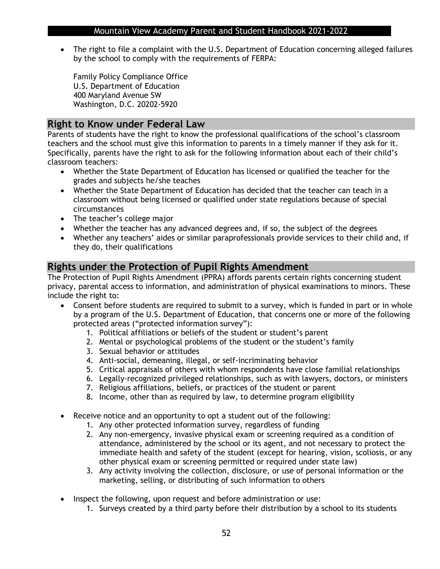• The right to file a complaint with the U.S. Department of Education concerning alleged failures by the school to comply with the requirements of FERPA:

Family Policy Compliance Office U.S. Department of Education 400 Maryland Avenue SW Washington, D.C. 20202-5920

### **Right to Know under Federal Law**

Parents of students have the right to know the professional qualifications of the school's classroom teachers and the school must give this information to parents in a timely manner if they ask for it. Specifically, parents have the right to ask for the following information about each of their child's classroom teachers:

- Whether the State Department of Education has licensed or qualified the teacher for the grades and subjects he/she teaches
- Whether the State Department of Education has decided that the teacher can teach in a classroom without being licensed or qualified under state regulations because of special circumstances
- The teacher's college major
- Whether the teacher has any advanced degrees and, if so, the subject of the degrees
- Whether any teachers' aides or similar paraprofessionals provide services to their child and, if they do, their qualifications

### **Rights under the Protection of Pupil Rights Amendment**

The Protection of Pupil Rights Amendment (PPRA) affords parents certain rights concerning student privacy, parental access to information, and administration of physical examinations to minors. These include the right to:

- Consent before students are required to submit to a survey, which is funded in part or in whole by a program of the U.S. Department of Education, that concerns one or more of the following protected areas ("protected information survey"):
	- 1. Political affiliations or beliefs of the student or student's parent
	- 2. Mental or psychological problems of the student or the student's family
	- 3. Sexual behavior or attitudes
	- 4. Anti-social, demeaning, illegal, or self-incriminating behavior
	- 5. Critical appraisals of others with whom respondents have close familial relationships
	- 6. Legally-recognized privileged relationships, such as with lawyers, doctors, or ministers
	- 7. Religious affiliations, beliefs, or practices of the student or parent
	- 8. Income, other than as required by law, to determine program eligibility
- Receive notice and an opportunity to opt a student out of the following:
	- 1. Any other protected information survey, regardless of funding
	- 2. Any non-emergency, invasive physical exam or screening required as a condition of attendance, administered by the school or its agent, and not necessary to protect the immediate health and safety of the student (except for hearing, vision, scoliosis, or any other physical exam or screening permitted or required under state law)
	- 3. Any activity involving the collection, disclosure, or use of personal information or the marketing, selling, or distributing of such information to others
- Inspect the following, upon request and before administration or use:
	- 1. Surveys created by a third party before their distribution by a school to its students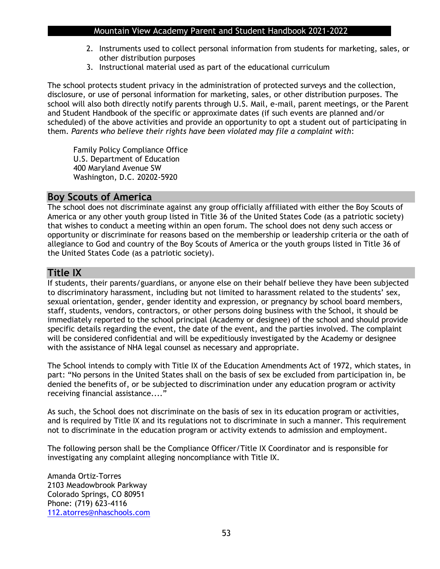- 2. Instruments used to collect personal information from students for marketing, sales, or other distribution purposes
- 3. Instructional material used as part of the educational curriculum

The school protects student privacy in the administration of protected surveys and the collection, disclosure, or use of personal information for marketing, sales, or other distribution purposes. The school will also both directly notify parents through U.S. Mail, e-mail, parent meetings, or the Parent and Student Handbook of the specific or approximate dates (if such events are planned and/or scheduled) of the above activities and provide an opportunity to opt a student out of participating in them. *Parents who believe their rights have been violated may file a complaint with*:

Family Policy Compliance Office U.S. Department of Education 400 Maryland Avenue SW Washington, D.C. 20202-5920

### **Boy Scouts of America**

The school does not discriminate against any group officially affiliated with either the Boy Scouts of America or any other youth group listed in Title 36 of the United States Code (as a patriotic society) that wishes to conduct a meeting within an open forum. The school does not deny such access or opportunity or discriminate for reasons based on the membership or leadership criteria or the oath of allegiance to God and country of the Boy Scouts of America or the youth groups listed in Title 36 of the United States Code (as a patriotic society).

## **Title IX**

If students, their parents/guardians, or anyone else on their behalf believe they have been subjected to discriminatory harassment, including but not limited to harassment related to the students' sex, sexual orientation, gender, gender identity and expression, or pregnancy by school board members, staff, students, vendors, contractors, or other persons doing business with the School, it should be immediately reported to the school principal (Academy or designee) of the school and should provide specific details regarding the event, the date of the event, and the parties involved. The complaint will be considered confidential and will be expeditiously investigated by the Academy or designee with the assistance of NHA legal counsel as necessary and appropriate.

The School intends to comply with Title IX of the Education Amendments Act of 1972, which states, in part: "No persons in the United States shall on the basis of sex be excluded from participation in, be denied the benefits of, or be subjected to discrimination under any education program or activity receiving financial assistance...."

As such, the School does not discriminate on the basis of sex in its education program or activities, and is required by Title IX and its regulations not to discriminate in such a manner. This requirement not to discriminate in the education program or activity extends to admission and employment.

The following person shall be the Compliance Officer/Title IX Coordinator and is responsible for investigating any complaint alleging noncompliance with Title IX.

Amanda Ortiz-Torres 2103 Meadowbrook Parkway Colorado Springs, CO 80951 Phone: (719) 623-4116 [112.atorres@nhaschools.com](mailto:112.atorres@nhaschools.com)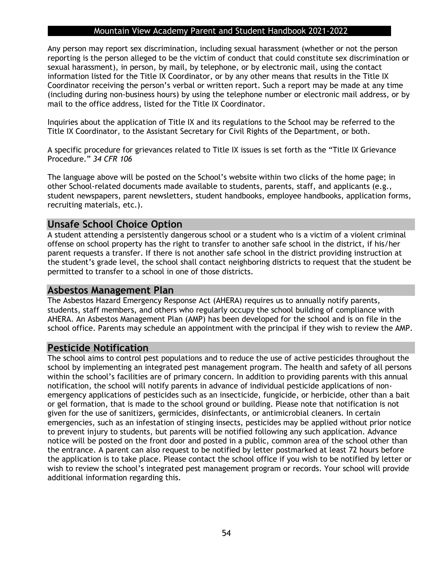Any person may report sex discrimination, including sexual harassment (whether or not the person reporting is the person alleged to be the victim of conduct that could constitute sex discrimination or sexual harassment), in person, by mail, by telephone, or by electronic mail, using the contact information listed for the Title IX Coordinator, or by any other means that results in the Title IX Coordinator receiving the person's verbal or written report. Such a report may be made at any time (including during non-business hours) by using the telephone number or electronic mail address, or by mail to the office address, listed for the Title IX Coordinator.

Inquiries about the application of Title IX and its regulations to the School may be referred to the Title IX Coordinator, to the Assistant Secretary for Civil Rights of the Department, or both.

A specific procedure for grievances related to Title IX issues is set forth as the "Title IX Grievance Procedure." *34 CFR 106*

The language above will be posted on the School's website within two clicks of the home page; in other School-related documents made available to students, parents, staff, and applicants (e.g., student newspapers, parent newsletters, student handbooks, employee handbooks, application forms, recruiting materials, etc.).

### **Unsafe School Choice Option**

A student attending a persistently dangerous school or a student who is a victim of a violent criminal offense on school property has the right to transfer to another safe school in the district, if his/her parent requests a transfer. If there is not another safe school in the district providing instruction at the student's grade level, the school shall contact neighboring districts to request that the student be permitted to transfer to a school in one of those districts.

### **Asbestos Management Plan**

The Asbestos Hazard Emergency Response Act (AHERA) requires us to annually notify parents, students, staff members, and others who regularly occupy the school building of compliance with AHERA. An Asbestos Management Plan (AMP) has been developed for the school and is on file in the school office. Parents may schedule an appointment with the principal if they wish to review the AMP.

### **Pesticide Notification**

The school aims to control pest populations and to reduce the use of active pesticides throughout the school by implementing an integrated pest management program. The health and safety of all persons within the school's facilities are of primary concern. In addition to providing parents with this annual notification, the school will notify parents in advance of individual pesticide applications of nonemergency applications of pesticides such as an insecticide, fungicide, or herbicide, other than a bait or gel formation, that is made to the school ground or building. Please note that notification is not given for the use of sanitizers, germicides, disinfectants, or antimicrobial cleaners. In certain emergencies, such as an infestation of stinging insects, pesticides may be applied without prior notice to prevent injury to students, but parents will be notified following any such application. Advance notice will be posted on the front door and posted in a public, common area of the school other than the entrance. A parent can also request to be notified by letter postmarked at least 72 hours before the application is to take place. Please contact the school office if you wish to be notified by letter or wish to review the school's integrated pest management program or records. Your school will provide additional information regarding this.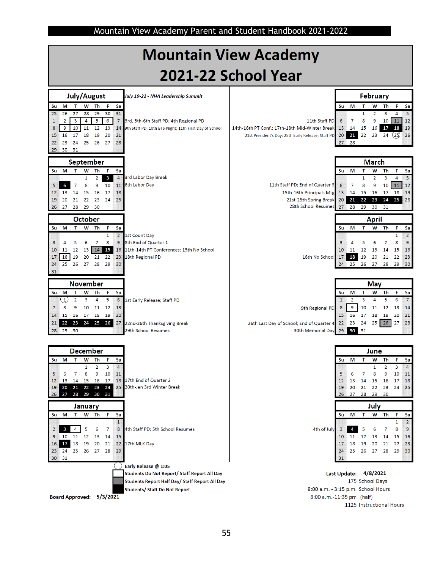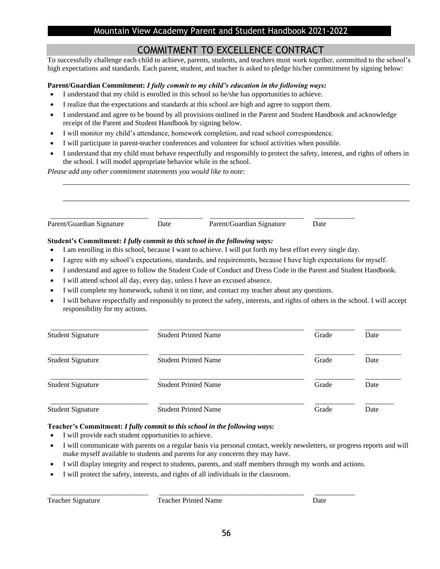## COMMITMENT TO EXCELLENCE CONTRACT

To successfully challenge each child to achieve, parents, students, and teachers must work together, committed to the school's high expectations and standards. Each parent, student, and teacher is asked to pledge his/her commitment by signing below:

#### **Parent/Guardian Commitment:** *I fully commit to my child's education in the following ways:*

- I understand that my child is enrolled in this school so he/she has opportunities to achieve.
- I realize that the expectations and standards at this school are high and agree to support them.
- I understand and agree to be bound by all provisions outlined in the Parent and Student Handbook and acknowledge receipt of the Parent and Student Handbook by signing below.
- I will monitor my child's attendance, homework completion, and read school correspondence.
- I will participate in parent-teacher conferences and volunteer for school activities when possible.
- I understand that my child must behave respectfully and responsibly to protect the safety, interest, and rights of others in the school. I will model appropriate behavior while in the school.

*Please add any other commitment statements you would like to note:*

| _____________________ |   | __________________________________ | ______________ |
|-----------------------|---|------------------------------------|----------------|
| Parf<br>.             | . |                                    | .              |

### **Student's Commitment:** *I fully commit to this school in the following ways:*

- I am enrolling in this school, because I want to achieve. I will put forth my best effort every single day.
- I agree with my school's expectations, standards, and requirements, because I have high expectations for myself.
- I understand and agree to follow the Student Code of Conduct and Dress Code in the Parent and Student Handbook.
- I will attend school all day, every day, unless I have an excused absence.
- I will complete my homework, submit it on time, and contact my teacher about any questions.
- I will behave respectfully and responsibly to protect the safety, interests, and rights of others in the school. I will accept responsibility for my actions.

| <b>Student Signature</b> | <b>Student Printed Name</b> | Grade | Date |
|--------------------------|-----------------------------|-------|------|
| <b>Student Signature</b> | <b>Student Printed Name</b> | Grade | Date |
| <b>Student Signature</b> | <b>Student Printed Name</b> | Grade | Date |
| <b>Student Signature</b> | <b>Student Printed Name</b> | Grade | Date |

#### **Teacher's Commitment:** *I fully commit to this school in the following ways:*

- I will provide each student opportunities to achieve.
- I will communicate with parents on a regular basis via personal contact, weekly newsletters, or progress reports and will make myself available to students and parents for any concerns they may have.
- I will display integrity and respect to students, parents, and staff members through my words and actions.

\_\_\_\_\_\_\_\_\_\_\_\_\_\_\_\_\_\_\_\_\_\_\_\_\_\_\_ \_\_\_\_\_\_\_\_\_\_\_\_\_\_\_\_\_\_\_\_\_\_\_\_\_\_\_\_\_\_\_\_\_\_\_\_\_\_\_\_ \_\_\_\_\_\_\_\_\_\_\_

I will protect the safety, interests, and rights of all individuals in the classroom.

l

Teacher Signature Teacher Printed Name Date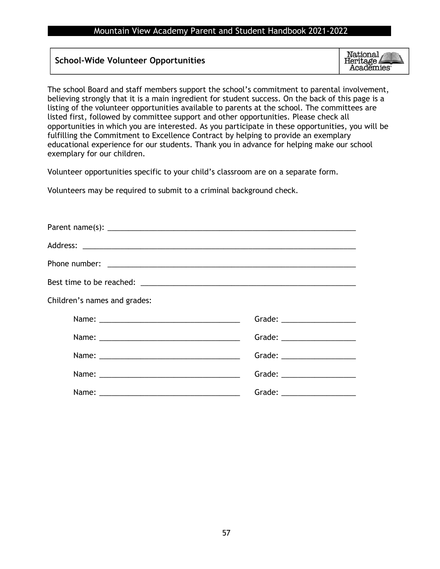### **School-Wide Volunteer Opportunities**

National<br>Heritage **Academies**<sup>®</sup>

The school Board and staff members support the school's commitment to parental involvement, believing strongly that it is a main ingredient for student success. On the back of this page is a listing of the volunteer opportunities available to parents at the school. The committees are listed first, followed by committee support and other opportunities. Please check all opportunities in which you are interested. As you participate in these opportunities, you will be fulfilling the Commitment to Excellence Contract by helping to provide an exemplary educational experience for our students. Thank you in advance for helping make our school exemplary for our children.

Volunteer opportunities specific to your child's classroom are on a separate form.

Volunteers may be required to submit to a criminal background check.

| Children's names and grades: |                                                         |
|------------------------------|---------------------------------------------------------|
|                              |                                                         |
|                              |                                                         |
|                              |                                                         |
|                              |                                                         |
|                              | Grade: $\frac{1}{\sqrt{1-\frac{1}{2}}\cdot\frac{1}{2}}$ |